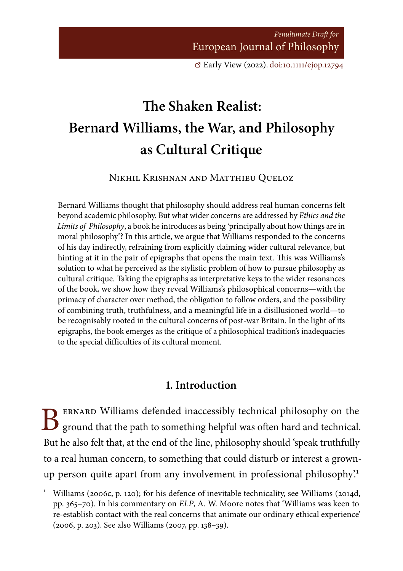Penultimate Draft for European Journal of Philosophy

[E](https://doi.org/10.1111/ejop.12794)arly View (2022). [doi:10.1111/ejop.12794](https://doi.org/10.1111/ejop.12794)

# <span id="page-0-0"></span>**The Shaken Realist: Bernard Williams, the War, and Philosophy as Cultural Critique**

Nikhil Krishnan and Matthieu Queloz

Bernard Williams thought that philosophy should address real human concerns felt beyond academic philosophy. But what wider concerns are addressed by Ethics and the Limits of Philosophy, a book he introduces as being 'principally about how things are in moral philosophy'? In this article, we argue that Williams responded to the concerns of his day indirectly, refraining from explicitly claiming wider cultural relevance, but hinting at it in the pair of epigraphs that opens the main text. This was Williams's solution to what he perceived as the stylistic problem of how to pursue philosophy as cultural critique. Taking the epigraphs as interpretative keys to the wider resonances of the book, we show how they reveal Williams's philosophical concerns—with the primacy of character over method, the obligation to follow orders, and the possibility of combining truth, truthfulness, and a meaningful life in a disillusioned world—to be recognisably rooted in the cultural concerns of post-war Britain. In the light of its epigraphs, the book emerges as the critique of a philosophical tradition's inadequacies to the special difficulties of its cultural moment.

#### **1. Introduction**

B ernard Williams defended inaccessibly technical philosophy on the ground that the path to something helpful was often hard and technical. But he also felt that, at the end of the line, philosophy should 'speak truthfully to a real human concern, to something that could disturb or interest a grownup person quite apart from any involvement in professional philosophy?<sup>1</sup>

<sup>1</sup> Williams (2006c, p. 120); for his defence of inevitable technicality, see Williams (2014d, pp. 365–70). In his commentary on ELP, A. W. Moore notes that 'Williams was keen to re-establish contact with the real concerns that animate our ordinary ethical experience' (2006, p. 203). See also Williams (2007, pp. 138–39).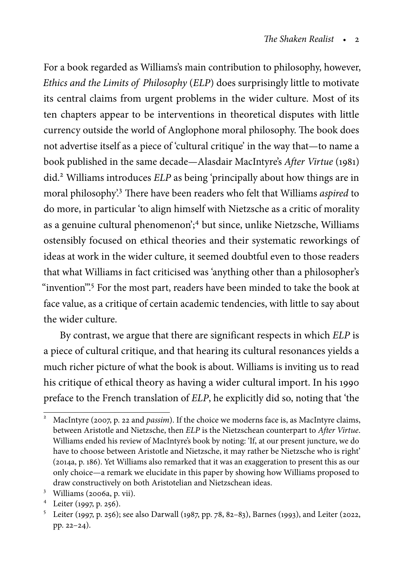For a book regarded as Williams's main contribution to philosophy, however, Ethics and the Limits of Philosophy (ELP) does surprisingly little to motivate its central claims from urgent problems in the wider culture. Most of its ten chapters appear to be interventions in theoretical disputes with little currency outside the world of Anglophone moral philosophy. The book does not advertise itself as a piece of 'cultural critique' in the way that—to name a book published in the same decade—Alasdair MacIntyre's After Virtue (1981) did.<sup>2</sup> Williams introduces ELP as being 'principally about how things are in moral philosophy'.<sup>3</sup> There have been readers who felt that Williams aspired to do more, in particular 'to align himself with Nietzsche as a critic of morality as a genuine cultural phenomenon';<sup>4</sup> but since, unlike Nietzsche, Williams ostensibly focused on ethical theories and their systematic reworkings of ideas at work in the wider culture, it seemed doubtful even to those readers that what Williams in fact criticised was 'anything other than a philosopher's "invention".<sup>5</sup> For the most part, readers have been minded to take the book at face value, as a critique of certain academic tendencies, with little to say about the wider culture.

By contrast, we argue that there are significant respects in which ELP is a piece of cultural critique, and that hearing its cultural resonances yields a much richer picture of what the book is about. Williams is inviting us to read his critique of ethical theory as having a wider cultural import. In his 1990 preface to the French translation of ELP, he explicitly did so, noting that 'the

<sup>3</sup> Williams (2006a, p. vii).

MacIntyre (2007, p. 22 and *passim*). If the choice we moderns face is, as MacIntyre claims, between Aristotle and Nietzsche, then ELP is the Nietzschean counterpart to After Virtue. Williams ended his review of MacIntyre's book by noting: 'If, at our present juncture, we do have to choose between Aristotle and Nietzsche, it may rather be Nietzsche who is right' (2014a, p. 186). Yet Williams also remarked that it was an exaggeration to present this as our only choice—a remark we elucidate in this paper by showing how Williams proposed to draw constructively on both Aristotelian and Nietzschean ideas.

<sup>4</sup> Leiter (1997, p. 256).

<sup>5</sup> Leiter (1997, p. 256); see also Darwall (1987, pp. 78, 82–83), Barnes (1993), and Leiter (2022, pp. 22–24).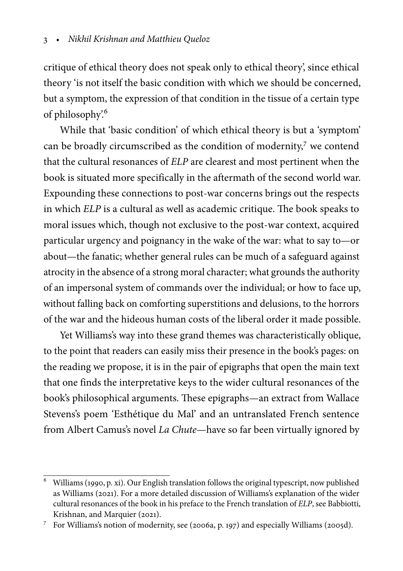critique of ethical theory does not speak only to ethical theory', since ethical theory 'is not itself the basic condition with which we should be concerned, but a symptom, the expression of that condition in the tissue of a certain type of philosophy'.<sup>6</sup>

While that 'basic condition' of which ethical theory is but a 'symptom' can be broadly circumscribed as the condition of modernity,<sup>7</sup> we contend that the cultural resonances of ELP are clearest and most pertinent when the book is situated more specifically in the aftermath of the second world war. Expounding these connections to post-war concerns brings out the respects in which ELP is a cultural as well as academic critique. The book speaks to moral issues which, though not exclusive to the post-war context, acquired particular urgency and poignancy in the wake of the war: what to say to—or about—the fanatic; whether general rules can be much of a safeguard against atrocity in the absence of a strong moral character; what grounds the authority of an impersonal system of commands over the individual; or how to face up, without falling back on comforting superstitions and delusions, to the horrors of the war and the hideous human costs of the liberal order it made possible.

Yet Williams's way into these grand themes was characteristically oblique, to the point that readers can easily miss their presence in the book's pages: on the reading we propose, it is in the pair of epigraphs that open the main text that one finds the interpretative keys to the wider cultural resonances of the book's philosophical arguments. These epigraphs—an extract from Wallace Stevens's poem 'Esthétique du Mal' and an untranslated French sentence from Albert Camus's novel La Chute—have so far been virtually ignored by

 $\overline{6}$  Williams (1990, p. xi). Our English translation follows the original typescript, now published as Williams (2021). For a more detailed discussion of Williams's explanation of the wider cultural resonances of the book in his preface to the French translation of ELP, see Babbiotti, Krishnan, and Marquier (2021).

<sup>7</sup> For Williams's notion of modernity, see (2006a, p. 197) and especially Williams (2005d).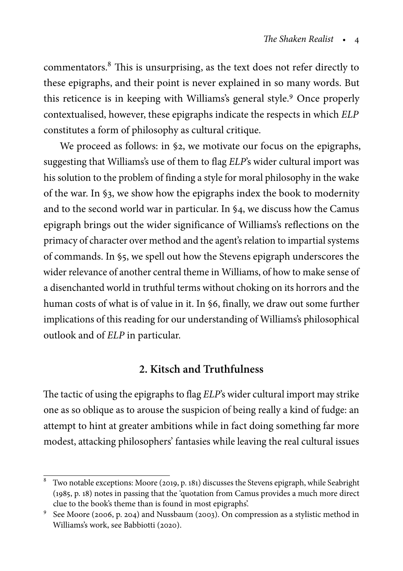commentators.<sup>8</sup> This is unsurprising, as the text does not refer directly to these epigraphs, and their point is never explained in so many words. But this reticence is in keeping with Williams's general style.<sup>9</sup> Once properly contextualised, however, these epigraphs indicate the respects in which ELP constitutes a form of philosophy as cultural critique.

We proceed as follows: in §2, we motivate our focus on the epigraphs, suggesting that Williams's use of them to flag ELP's wider cultural import was his solution to the problem of finding a style for moral philosophy in the wake of the war. In §3, we show how the epigraphs index the book to modernity and to the second world war in particular. In §4, we discuss how the Camus epigraph brings out the wider significance of Williams's reflections on the primacy of character over method and the agent's relation to impartial systems of commands. In §5, we spell out how the Stevens epigraph underscores the wider relevance of another central theme in Williams, of how to make sense of a disenchanted world in truthful terms without choking on its horrors and the human costs of what is of value in it. In §6, finally, we draw out some further implications of this reading for our understanding of Williams's philosophical outlook and of ELP in particular.

# **2. Kitsch and Truthfulness**

The tactic of using the epigraphs to flag ELP's wider cultural import may strike one as so oblique as to arouse the suspicion of being really a kind of fudge: an attempt to hint at greater ambitions while in fact doing something far more modest, attacking philosophers' fantasies while leaving the real cultural issues

<sup>&</sup>lt;sup>8</sup> Two notable exceptions: Moore (2019, p. 181) discusses the Stevens epigraph, while Seabright (1985, p. 18) notes in passing that the 'quotation from Camus provides a much more direct clue to the book's theme than is found in most epigraphs'.

<sup>9</sup> See Moore (2006, p. 204) and Nussbaum (2003). On compression as a stylistic method in Williams's work, see Babbiotti (2020).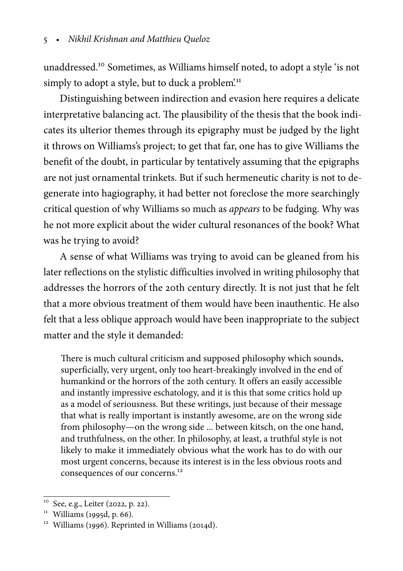unaddressed.<sup>10</sup> Sometimes, as Williams himself noted, to adopt a style 'is not simply to adopt a style, but to duck a problem.<sup>11</sup>

Distinguishing between indirection and evasion here requires a delicate interpretative balancing act. The plausibility of the thesis that the book indicates its ulterior themes through its epigraphy must be judged by the light it throws on Williams's project; to get that far, one has to give Williams the benefit of the doubt, in particular by tentatively assuming that the epigraphs are not just ornamental trinkets. But if such hermeneutic charity is not to degenerate into hagiography, it had better not foreclose the more searchingly critical question of why Williams so much as appears to be fudging. Why was he not more explicit about the wider cultural resonances of the book? What was he trying to avoid?

A sense of what Williams was trying to avoid can be gleaned from his later reflections on the stylistic difficulties involved in writing philosophy that addresses the horrors of the 20th century directly. It is not just that he felt that a more obvious treatment of them would have been inauthentic. He also felt that a less oblique approach would have been inappropriate to the subject matter and the style it demanded:

There is much cultural criticism and supposed philosophy which sounds, superficially, very urgent, only too heart-breakingly involved in the end of humankind or the horrors of the 20th century. It offers an easily accessible and instantly impressive eschatology, and it is this that some critics hold up as a model of seriousness. But these writings, just because of their message that what is really important is instantly awesome, are on the wrong side from philosophy—on the wrong side ... between kitsch, on the one hand, and truthfulness, on the other. In philosophy, at least, a truthful style is not likely to make it immediately obvious what the work has to do with our most urgent concerns, because its interest is in the less obvious roots and consequences of our concerns.<sup>12</sup>

See, e.g., Leiter (2022, p. 22).

 $11$  Williams (1995d, p. 66).

<sup>&</sup>lt;sup>12</sup> Williams (1996). Reprinted in Williams (2014d).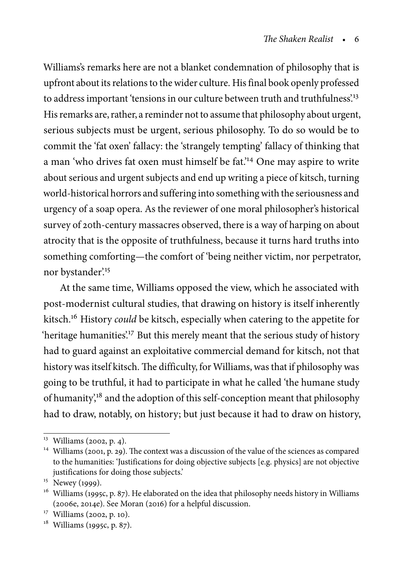Williams's remarks here are not a blanket condemnation of philosophy that is upfront about its relations to the wider culture. His final book openly professed to address important 'tensions in our culture between truth and truthfulness'.<sup>13</sup> His remarks are, rather, a reminder not to assume that philosophy about urgent, serious subjects must be urgent, serious philosophy. To do so would be to commit the 'fat oxen' fallacy: the 'strangely tempting' fallacy of thinking that a man 'who drives fat oxen must himself be fat.'<sup>14</sup> One may aspire to write about serious and urgent subjects and end up writing a piece of kitsch, turning world-historical horrors and suffering into something with the seriousness and urgency of a soap opera. As the reviewer of one moral philosopher's historical survey of 20th-century massacres observed, there is a way of harping on about atrocity that is the opposite of truthfulness, because it turns hard truths into something comforting—the comfort of 'being neither victim, nor perpetrator, nor bystander.<sup>15</sup>

At the same time, Williams opposed the view, which he associated with post-modernist cultural studies, that drawing on history is itself inherently kitsch.<sup>16</sup> History *could* be kitsch, especially when catering to the appetite for 'heritage humanities'.<sup>17</sup> But this merely meant that the serious study of history had to guard against an exploitative commercial demand for kitsch, not that history was itself kitsch. The difficulty, for Williams, was that if philosophy was going to be truthful, it had to participate in what he called 'the humane study of humanity',<sup>18</sup> and the adoption of this self-conception meant that philosophy had to draw, notably, on history; but just because it had to draw on history,

<sup>&</sup>lt;sup>13</sup> Williams (2002, p. 4).

<sup>&</sup>lt;sup>14</sup> Williams (2001, p. 29). The context was a discussion of the value of the sciences as compared to the humanities: 'Justifications for doing objective subjects [e.g. physics] are not objective justifications for doing those subjects.'

 $15$  Newey (1999).

<sup>&</sup>lt;sup>16</sup> Williams (1995c, p. 87). He elaborated on the idea that philosophy needs history in Williams (2006e, 2014e). See Moran (2016) for a helpful discussion.

<sup>17</sup> Williams (2002, p. 10).

<sup>&</sup>lt;sup>18</sup> Williams (1995c, p. 87).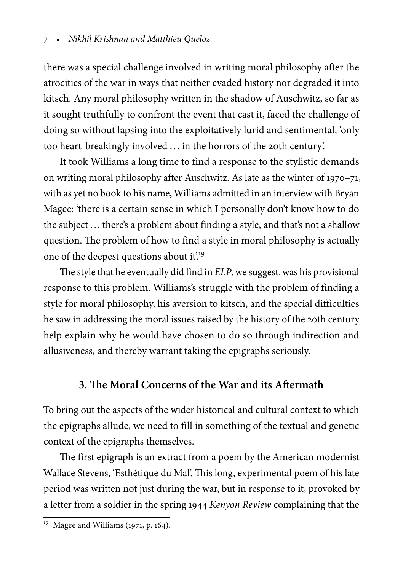there was a special challenge involved in writing moral philosophy after the atrocities of the war in ways that neither evaded history nor degraded it into kitsch. Any moral philosophy written in the shadow of Auschwitz, so far as it sought truthfully to confront the event that cast it, faced the challenge of doing so without lapsing into the exploitatively lurid and sentimental, 'only too heart-breakingly involved .. . in the horrors of the 20th century'.

It took Williams a long time to find a response to the stylistic demands on writing moral philosophy after Auschwitz. As late as the winter of 1970–71, with as yet no book to his name, Williams admitted in an interview with Bryan Magee: 'there is a certain sense in which I personally don't know how to do the subject ... there's a problem about finding a style, and that's not a shallow question. The problem of how to find a style in moral philosophy is actually one of the deepest questions about it.<sup>19</sup>

The style that he eventually did find in ELP, we suggest, was his provisional response to this problem. Williams's struggle with the problem of finding a style for moral philosophy, his aversion to kitsch, and the special difficulties he saw in addressing the moral issues raised by the history of the 20th century help explain why he would have chosen to do so through indirection and allusiveness, and thereby warrant taking the epigraphs seriously.

# **3. The Moral Concerns of the War and its Aftermath**

To bring out the aspects of the wider historical and cultural context to which the epigraphs allude, we need to fill in something of the textual and genetic context of the epigraphs themselves.

The first epigraph is an extract from a poem by the American modernist Wallace Stevens, 'Esthétique du Mal'. This long, experimental poem of his late period was written not just during the war, but in response to it, provoked by a letter from a soldier in the spring 1944 Kenyon Review complaining that the

 $\frac{19}{19}$  Magee and Williams (1971, p. 164).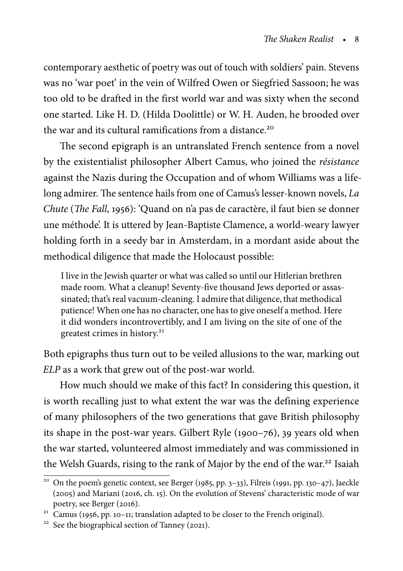contemporary aesthetic of poetry was out of touch with soldiers' pain. Stevens was no 'war poet' in the vein of Wilfred Owen or Siegfried Sassoon; he was too old to be drafted in the first world war and was sixty when the second one started. Like H. D. (Hilda Doolittle) or W. H. Auden, he brooded over the war and its cultural ramifications from a distance.<sup>20</sup>

The second epigraph is an untranslated French sentence from a novel by the existentialist philosopher Albert Camus, who joined the résistance against the Nazis during the Occupation and of whom Williams was a lifelong admirer. The sentence hails from one of Camus's lesser-known novels, La Chute (The Fall, 1956): 'Quand on n'a pas de caractère, il faut bien se donner une méthode'. It is uttered by Jean-Baptiste Clamence, a world-weary lawyer holding forth in a seedy bar in Amsterdam, in a mordant aside about the methodical diligence that made the Holocaust possible:

I live in the Jewish quarter or what was called so until our Hitlerian brethren made room. What a cleanup! Seventy-five thousand Jews deported or assassinated; that's real vacuum-cleaning. I admire that diligence, that methodical patience! When one has no character, one has to give oneself a method. Here it did wonders incontrovertibly, and I am living on the site of one of the greatest crimes in history.<sup>21</sup>

Both epigraphs thus turn out to be veiled allusions to the war, marking out ELP as a work that grew out of the post-war world.

How much should we make of this fact? In considering this question, it is worth recalling just to what extent the war was the defining experience of many philosophers of the two generations that gave British philosophy its shape in the post-war years. Gilbert Ryle (1900–76), 39 years old when the war started, volunteered almost immediately and was commissioned in the Welsh Guards, rising to the rank of Major by the end of the war.<sup>22</sup> Isaiah

<sup>&</sup>lt;sup>20</sup> On the poem's genetic context, see Berger (1985, pp. 3–33), Filreis (1991, pp. 130–47), Jaeckle (2005) and Mariani (2016, ch. 15). On the evolution of Stevens' characteristic mode of war poetry, see Berger (2016).

 $21$  Camus (1956, pp. 10–11; translation adapted to be closer to the French original).

<sup>&</sup>lt;sup>22</sup> See the biographical section of Tanney (2021).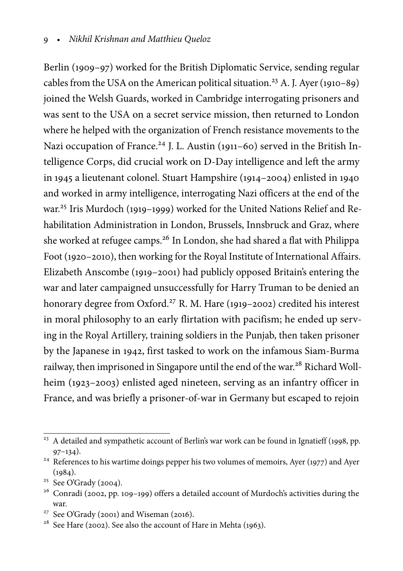Berlin (1909–97) worked for the British Diplomatic Service, sending regular cables from the USA on the American political situation.<sup>23</sup> A. J. Ayer (1910–89) joined the Welsh Guards, worked in Cambridge interrogating prisoners and was sent to the USA on a secret service mission, then returned to London where he helped with the organization of French resistance movements to the Nazi occupation of France.<sup>24</sup> J. L. Austin (1911–60) served in the British Intelligence Corps, did crucial work on D-Day intelligence and left the army in 1945 a lieutenant colonel. Stuart Hampshire (1914–2004) enlisted in 1940 and worked in army intelligence, interrogating Nazi officers at the end of the war.<sup>25</sup> Iris Murdoch (1919–1999) worked for the United Nations Relief and Rehabilitation Administration in London, Brussels, Innsbruck and Graz, where she worked at refugee camps.<sup>26</sup> In London, she had shared a flat with Philippa Foot (1920–2010), then working for the Royal Institute of International Affairs. Elizabeth Anscombe (1919–2001) had publicly opposed Britain's entering the war and later campaigned unsuccessfully for Harry Truman to be denied an honorary degree from Oxford.<sup>27</sup> R. M. Hare (1919–2002) credited his interest in moral philosophy to an early flirtation with pacifism; he ended up serving in the Royal Artillery, training soldiers in the Punjab, then taken prisoner by the Japanese in 1942, first tasked to work on the infamous Siam-Burma railway, then imprisoned in Singapore until the end of the war.<sup>28</sup> Richard Wollheim (1923–2003) enlisted aged nineteen, serving as an infantry officer in France, and was briefly a prisoner-of-war in Germany but escaped to rejoin

 $^{23}$  A detailed and sympathetic account of Berlin's war work can be found in Ignatieff (1998, pp.  $97-134$ ).

<sup>&</sup>lt;sup>24</sup> References to his wartime doings pepper his two volumes of memoirs, Ayer (1977) and Ayer  $(1984)$ .

<sup>25</sup> See O'Grady (2004).

<sup>&</sup>lt;sup>26</sup> Conradi (2002, pp. 109-199) offers a detailed account of Murdoch's activities during the war.

<sup>&</sup>lt;sup>27</sup> See O'Grady (2001) and Wiseman (2016).

<sup>&</sup>lt;sup>28</sup> See Hare (2002). See also the account of Hare in Mehta (1963).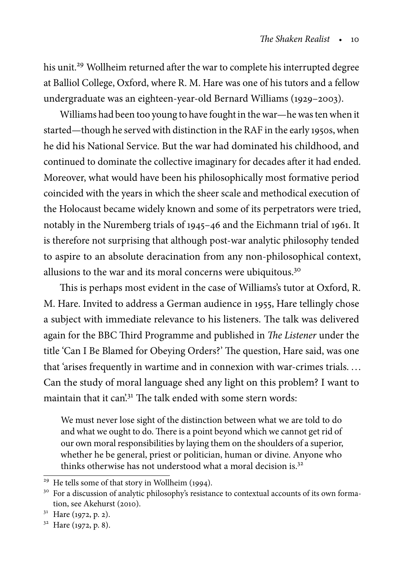his unit.<sup>29</sup> Wollheim returned after the war to complete his interrupted degree at Balliol College, Oxford, where R. M. Hare was one of his tutors and a fellow undergraduate was an eighteen-year-old Bernard Williams (1929–2003).

Williams had been too young to have fought in the war—he was ten when it started—though he served with distinction in the RAF in the early 1950s, when he did his National Service. But the war had dominated his childhood, and continued to dominate the collective imaginary for decades after it had ended. Moreover, what would have been his philosophically most formative period coincided with the years in which the sheer scale and methodical execution of the Holocaust became widely known and some of its perpetrators were tried, notably in the Nuremberg trials of 1945–46 and the Eichmann trial of 1961. It is therefore not surprising that although post-war analytic philosophy tended to aspire to an absolute deracination from any non-philosophical context, allusions to the war and its moral concerns were ubiquitous.<sup>30</sup>

This is perhaps most evident in the case of Williams's tutor at Oxford, R. M. Hare. Invited to address a German audience in 1955, Hare tellingly chose a subject with immediate relevance to his listeners. The talk was delivered again for the BBC Third Programme and published in The Listener under the title 'Can I Be Blamed for Obeying Orders?' The question, Hare said, was one that 'arises frequently in wartime and in connexion with war-crimes trials. . . . Can the study of moral language shed any light on this problem? I want to maintain that it can<sup>'31</sup>. The talk ended with some stern words:

We must never lose sight of the distinction between what we are told to do and what we ought to do. There is a point beyond which we cannot get rid of our own moral responsibilities by laying them on the shoulders of a superior, whether he be general, priest or politician, human or divine. Anyone who thinks otherwise has not understood what a moral decision is.<sup>32</sup>

<sup>31</sup> Hare (1972, p. 2).

<sup>&</sup>lt;sup>29</sup> He tells some of that story in Wollheim (1994).

<sup>&</sup>lt;sup>30</sup> For a discussion of analytic philosophy's resistance to contextual accounts of its own formation, see Akehurst (2010).

<sup>32</sup> Hare (1972, p. 8).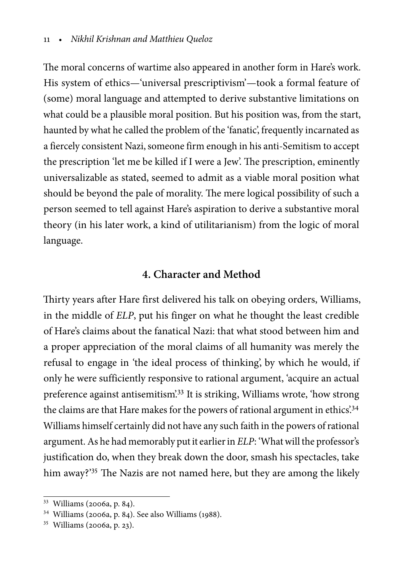The moral concerns of wartime also appeared in another form in Hare's work. His system of ethics—'universal prescriptivism'—took a formal feature of (some) moral language and attempted to derive substantive limitations on what could be a plausible moral position. But his position was, from the start, haunted by what he called the problem of the 'fanatic', frequently incarnated as a fiercely consistent Nazi, someone firm enough in his anti-Semitism to accept the prescription 'let me be killed if I were a Jew'. The prescription, eminently universalizable as stated, seemed to admit as a viable moral position what should be beyond the pale of morality. The mere logical possibility of such a person seemed to tell against Hare's aspiration to derive a substantive moral theory (in his later work, a kind of utilitarianism) from the logic of moral language.

#### **4. Character and Method**

Thirty years after Hare first delivered his talk on obeying orders, Williams, in the middle of ELP, put his finger on what he thought the least credible of Hare's claims about the fanatical Nazi: that what stood between him and a proper appreciation of the moral claims of all humanity was merely the refusal to engage in 'the ideal process of thinking', by which he would, if only he were sufficiently responsive to rational argument, 'acquire an actual preference against antisemitism'.<sup>33</sup> It is striking, Williams wrote, 'how strong the claims are that Hare makes for the powers of rational argument in ethics'.<sup>34</sup> Williams himself certainly did not have any such faith in the powers of rational argument. As he had memorably put it earlier in ELP: 'What will the professor's justification do, when they break down the door, smash his spectacles, take him away?'<sup>35</sup> The Nazis are not named here, but they are among the likely

<sup>33</sup> Williams (2006a, p. 84).

<sup>34</sup> Williams (2006a, p. 84). See also Williams (1988).

<sup>35</sup> Williams (2006a, p. 23).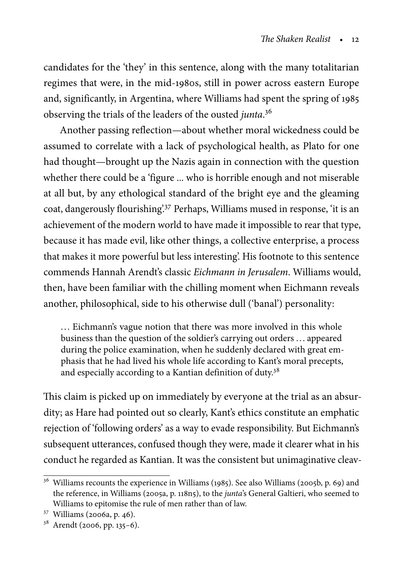candidates for the 'they' in this sentence, along with the many totalitarian regimes that were, in the mid-1980s, still in power across eastern Europe and, significantly, in Argentina, where Williams had spent the spring of 1985 observing the trials of the leaders of the ousted junta.<sup>36</sup>

Another passing reflection—about whether moral wickedness could be assumed to correlate with a lack of psychological health, as Plato for one had thought—brought up the Nazis again in connection with the question whether there could be a 'figure ... who is horrible enough and not miserable at all but, by any ethological standard of the bright eye and the gleaming coat, dangerously flourishing'.<sup>37</sup> Perhaps, Williams mused in response, 'it is an achievement of the modern world to have made it impossible to rear that type, because it has made evil, like other things, a collective enterprise, a process that makes it more powerful but less interesting'. His footnote to this sentence commends Hannah Arendt's classic Eichmann in Jerusalem. Williams would, then, have been familiar with the chilling moment when Eichmann reveals another, philosophical, side to his otherwise dull ('banal') personality:

... Eichmann's vague notion that there was more involved in this whole business than the question of the soldier's carrying out orders .. . appeared during the police examination, when he suddenly declared with great emphasis that he had lived his whole life according to Kant's moral precepts, and especially according to a Kantian definition of duty.<sup>38</sup>

This claim is picked up on immediately by everyone at the trial as an absurdity; as Hare had pointed out so clearly, Kant's ethics constitute an emphatic rejection of 'following orders' as a way to evade responsibility. But Eichmann's subsequent utterances, confused though they were, made it clearer what in his conduct he regarded as Kantian. It was the consistent but unimaginative cleav-

<sup>&</sup>lt;sup>36</sup> Williams recounts the experience in Williams (1985). See also Williams (2005b, p. 69) and the reference, in Williams (2005a, p. 118n5), to the junta's General Galtieri, who seemed to Williams to epitomise the rule of men rather than of law.

<sup>37</sup> Williams (2006a, p. 46).

<sup>38</sup> Arendt (2006, pp. 135–6).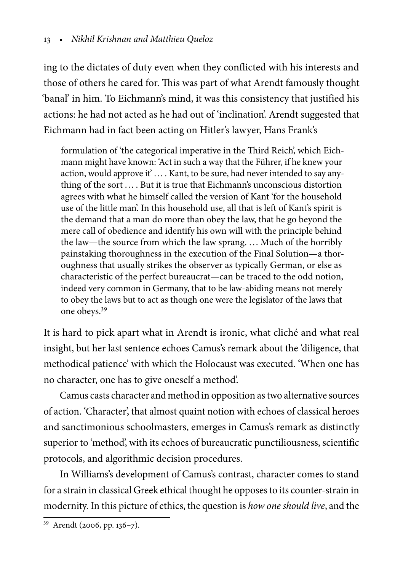ing to the dictates of duty even when they conflicted with his interests and those of others he cared for. This was part of what Arendt famously thought 'banal' in him. To Eichmann's mind, it was this consistency that justified his actions: he had not acted as he had out of 'inclination'. Arendt suggested that Eichmann had in fact been acting on Hitler's lawyer, Hans Frank's

formulation of 'the categorical imperative in the Third Reich', which Eichmann might have known: 'Act in such a way that the Führer, if he knew your action, would approve it'.... Kant, to be sure, had never intended to say anything of the sort ... . But it is true that Eichmann's unconscious distortion agrees with what he himself called the version of Kant 'for the household use of the little man'. In this household use, all that is left of Kant's spirit is the demand that a man do more than obey the law, that he go beyond the mere call of obedience and identify his own will with the principle behind the law—the source from which the law sprang. ... Much of the horribly painstaking thoroughness in the execution of the Final Solution—a thoroughness that usually strikes the observer as typically German, or else as characteristic of the perfect bureaucrat—can be traced to the odd notion, indeed very common in Germany, that to be law-abiding means not merely to obey the laws but to act as though one were the legislator of the laws that one obeys.<sup>39</sup>

It is hard to pick apart what in Arendt is ironic, what cliché and what real insight, but her last sentence echoes Camus's remark about the 'diligence, that methodical patience' with which the Holocaust was executed. 'When one has no character, one has to give oneself a method'.

Camus casts character and method in opposition as two alternative sources of action. 'Character', that almost quaint notion with echoes of classical heroes and sanctimonious schoolmasters, emerges in Camus's remark as distinctly superior to 'method', with its echoes of bureaucratic punctiliousness, scientific protocols, and algorithmic decision procedures.

In Williams's development of Camus's contrast, character comes to stand for a strain in classical Greek ethical thought he opposes to its counter-strain in modernity. In this picture of ethics, the question is how one should live, and the

<sup>39</sup> Arendt (2006, pp. 136–7).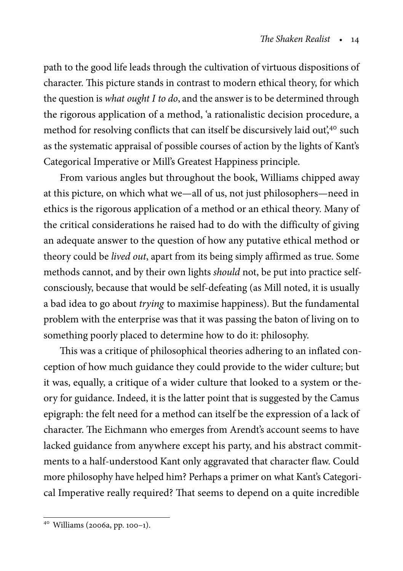path to the good life leads through the cultivation of virtuous dispositions of character. This picture stands in contrast to modern ethical theory, for which the question is what ought I to do, and the answer is to be determined through the rigorous application of a method, 'a rationalistic decision procedure, a method for resolving conflicts that can itself be discursively laid out,<sup>40</sup> such as the systematic appraisal of possible courses of action by the lights of Kant's Categorical Imperative or Mill's Greatest Happiness principle.

From various angles but throughout the book, Williams chipped away at this picture, on which what we—all of us, not just philosophers—need in ethics is the rigorous application of a method or an ethical theory. Many of the critical considerations he raised had to do with the difficulty of giving an adequate answer to the question of how any putative ethical method or theory could be lived out, apart from its being simply affirmed as true. Some methods cannot, and by their own lights should not, be put into practice selfconsciously, because that would be self-defeating (as Mill noted, it is usually a bad idea to go about trying to maximise happiness). But the fundamental problem with the enterprise was that it was passing the baton of living on to something poorly placed to determine how to do it: philosophy.

This was a critique of philosophical theories adhering to an inflated conception of how much guidance they could provide to the wider culture; but it was, equally, a critique of a wider culture that looked to a system or theory for guidance. Indeed, it is the latter point that is suggested by the Camus epigraph: the felt need for a method can itself be the expression of a lack of character. The Eichmann who emerges from Arendt's account seems to have lacked guidance from anywhere except his party, and his abstract commitments to a half-understood Kant only aggravated that character flaw. Could more philosophy have helped him? Perhaps a primer on what Kant's Categorical Imperative really required? That seems to depend on a quite incredible

<sup>40</sup> Williams (2006a, pp. 100–1).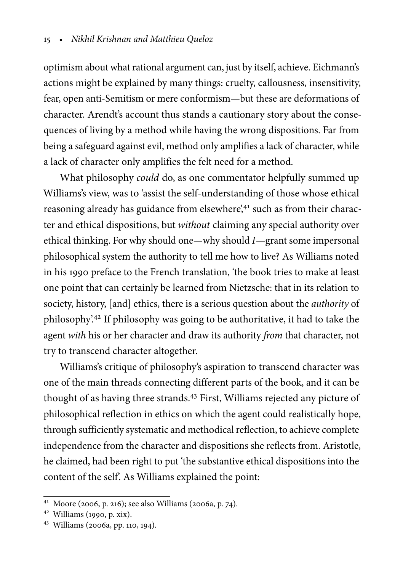optimism about what rational argument can, just by itself, achieve. Eichmann's actions might be explained by many things: cruelty, callousness, insensitivity, fear, open anti-Semitism or mere conformism—but these are deformations of character. Arendt's account thus stands a cautionary story about the consequences of living by a method while having the wrong dispositions. Far from being a safeguard against evil, method only amplifies a lack of character, while a lack of character only amplifies the felt need for a method.

What philosophy could do, as one commentator helpfully summed up Williams's view, was to 'assist the self-understanding of those whose ethical reasoning already has guidance from elsewhere',<sup>41</sup> such as from their character and ethical dispositions, but without claiming any special authority over ethical thinking. For why should one—why should I—grant some impersonal philosophical system the authority to tell me how to live? As Williams noted in his 1990 preface to the French translation, 'the book tries to make at least one point that can certainly be learned from Nietzsche: that in its relation to society, history, [and] ethics, there is a serious question about the authority of philosophy'.<sup>42</sup> If philosophy was going to be authoritative, it had to take the agent with his or her character and draw its authority from that character, not try to transcend character altogether.

Williams's critique of philosophy's aspiration to transcend character was one of the main threads connecting different parts of the book, and it can be thought of as having three strands.<sup>43</sup> First, Williams rejected any picture of philosophical reflection in ethics on which the agent could realistically hope, through sufficiently systematic and methodical reflection, to achieve complete independence from the character and dispositions she reflects from. Aristotle, he claimed, had been right to put 'the substantive ethical dispositions into the content of the self'. As Williams explained the point:

<sup>41</sup> Moore (2006, p. 216); see also Williams (2006a, p. 74).

<sup>42</sup> Williams (1990, p. xix).

<sup>43</sup> Williams (2006a, pp. 110, 194).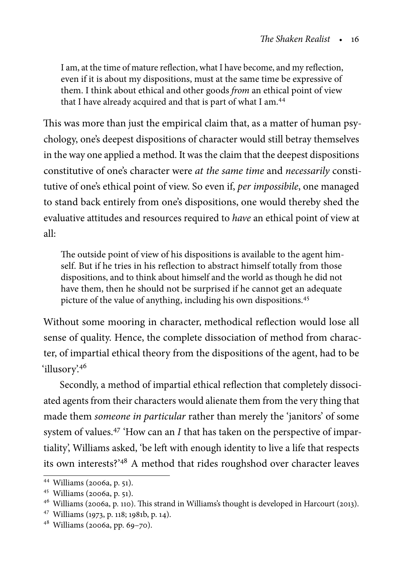I am, at the time of mature reflection, what I have become, and my reflection, even if it is about my dispositions, must at the same time be expressive of them. I think about ethical and other goods from an ethical point of view that I have already acquired and that is part of what I am.<sup>44</sup>

This was more than just the empirical claim that, as a matter of human psychology, one's deepest dispositions of character would still betray themselves in the way one applied a method. It was the claim that the deepest dispositions constitutive of one's character were at the same time and necessarily constitutive of one's ethical point of view. So even if, per impossibile, one managed to stand back entirely from one's dispositions, one would thereby shed the evaluative attitudes and resources required to have an ethical point of view at all:

The outside point of view of his dispositions is available to the agent himself. But if he tries in his reflection to abstract himself totally from those dispositions, and to think about himself and the world as though he did not have them, then he should not be surprised if he cannot get an adequate picture of the value of anything, including his own dispositions.<sup>45</sup>

Without some mooring in character, methodical reflection would lose all sense of quality. Hence, the complete dissociation of method from character, of impartial ethical theory from the dispositions of the agent, had to be 'illusory'.46

Secondly, a method of impartial ethical reflection that completely dissociated agents from their characters would alienate them from the very thing that made them someone in particular rather than merely the 'janitors' of some system of values.<sup>47</sup> 'How can an I that has taken on the perspective of impartiality', Williams asked, 'be left with enough identity to live a life that respects its own interests?'<sup>48</sup> A method that rides roughshod over character leaves

<sup>44</sup> Williams (2006a, p. 51).

<sup>45</sup> Williams (2006a, p. 51).

<sup>46</sup> Williams (2006a, p. 110). This strand in Williams's thought is developed in Harcourt (2013).

<sup>47</sup> Williams (1973, p. 118; 1981b, p. 14).

<sup>48</sup> Williams (2006a, pp. 69–70).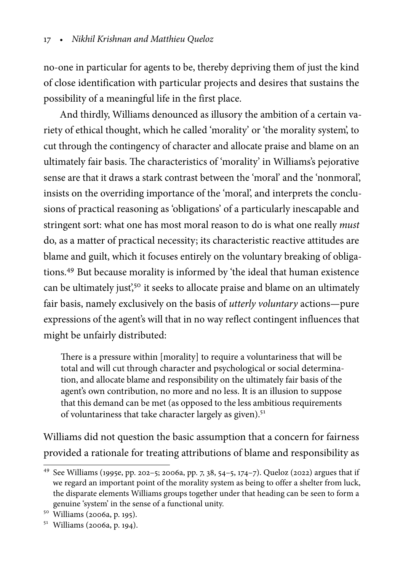no-one in particular for agents to be, thereby depriving them of just the kind of close identification with particular projects and desires that sustains the possibility of a meaningful life in the first place.

And thirdly, Williams denounced as illusory the ambition of a certain variety of ethical thought, which he called 'morality' or 'the morality system', to cut through the contingency of character and allocate praise and blame on an ultimately fair basis. The characteristics of 'morality' in Williams's pejorative sense are that it draws a stark contrast between the 'moral' and the 'nonmoral', insists on the overriding importance of the 'moral', and interprets the conclusions of practical reasoning as 'obligations' of a particularly inescapable and stringent sort: what one has most moral reason to do is what one really *must* do, as a matter of practical necessity; its characteristic reactive attitudes are blame and guilt, which it focuses entirely on the voluntary breaking of obligations.<sup>49</sup> But because morality is informed by 'the ideal that human existence can be ultimately just<sup>'50</sup> it seeks to allocate praise and blame on an ultimately fair basis, namely exclusively on the basis of utterly voluntary actions—pure expressions of the agent's will that in no way reflect contingent influences that might be unfairly distributed:

There is a pressure within [morality] to require a voluntariness that will be total and will cut through character and psychological or social determination, and allocate blame and responsibility on the ultimately fair basis of the agent's own contribution, no more and no less. It is an illusion to suppose that this demand can be met (as opposed to the less ambitious requirements of voluntariness that take character largely as given).<sup>51</sup>

Williams did not question the basic assumption that a concern for fairness provided a rationale for treating attributions of blame and responsibility as

<sup>&</sup>lt;sup>49</sup> See Williams (1995e, pp. 202–5; 2006a, pp. 7, 38, 54–5, 174–7). Queloz (2022) argues that if we regard an important point of the morality system as being to offer a shelter from luck, the disparate elements Williams groups together under that heading can be seen to form a genuine 'system' in the sense of a functional unity.

<sup>50</sup> Williams (2006a, p. 195).

<sup>51</sup> Williams (2006a, p. 194).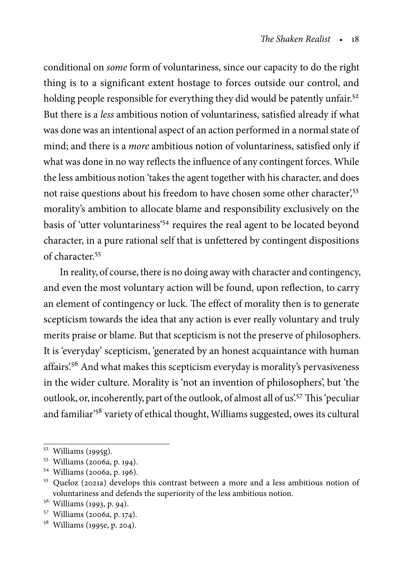conditional on some form of voluntariness, since our capacity to do the right thing is to a significant extent hostage to forces outside our control, and holding people responsible for everything they did would be patently unfair.<sup>52</sup> But there is a less ambitious notion of voluntariness, satisfied already if what was done was an intentional aspect of an action performed in a normal state of mind; and there is a more ambitious notion of voluntariness, satisfied only if what was done in no way reflects the influence of any contingent forces. While the less ambitious notion 'takes the agent together with his character, and does not raise questions about his freedom to have chosen some other character',<sup>53</sup> morality's ambition to allocate blame and responsibility exclusively on the basis of 'utter voluntariness'<sup>54</sup> requires the real agent to be located beyond character, in a pure rational self that is unfettered by contingent dispositions of character<sup>55</sup>

In reality, of course, there is no doing away with character and contingency, and even the most voluntary action will be found, upon reflection, to carry an element of contingency or luck. The effect of morality then is to generate scepticism towards the idea that any action is ever really voluntary and truly merits praise or blame. But that scepticism is not the preserve of philosophers. It is 'everyday' scepticism, 'generated by an honest acquaintance with human affairs'.<sup>56</sup> And what makes this scepticism everyday is morality's pervasiveness in the wider culture. Morality is 'not an invention of philosophers', but 'the outlook, or, incoherently, part of the outlook, of almost all of us.<sup>57</sup> This 'peculiar and familiar'<sup>58</sup> variety of ethical thought, Williams suggested, owes its cultural

<sup>52</sup> Williams (1995g).

<sup>53</sup> Williams (2006a, p. 194).

<sup>54</sup> Williams (2006a, p. 196).

<sup>55</sup> Queloz (2021a) develops this contrast between a more and a less ambitious notion of voluntariness and defends the superiority of the less ambitious notion.

<sup>56</sup> Williams (1993, p. 94).

<sup>57</sup> Williams (2006a, p. 174).

<sup>58</sup> Williams (1995e, p. 204).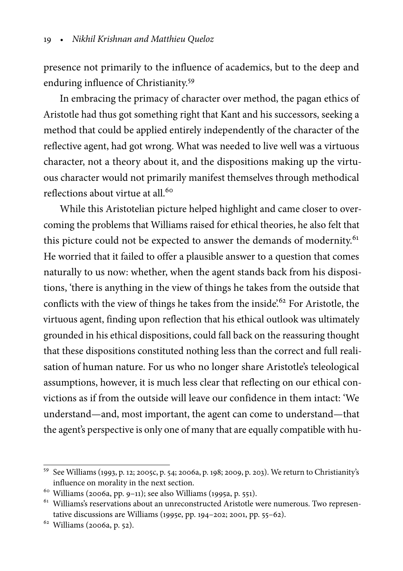presence not primarily to the influence of academics, but to the deep and enduring influence of Christianity.<sup>59</sup>

In embracing the primacy of character over method, the pagan ethics of Aristotle had thus got something right that Kant and his successors, seeking a method that could be applied entirely independently of the character of the reflective agent, had got wrong. What was needed to live well was a virtuous character, not a theory about it, and the dispositions making up the virtuous character would not primarily manifest themselves through methodical reflections about virtue at all.<sup>60</sup>

While this Aristotelian picture helped highlight and came closer to overcoming the problems that Williams raised for ethical theories, he also felt that this picture could not be expected to answer the demands of modernity.<sup>61</sup> He worried that it failed to offer a plausible answer to a question that comes naturally to us now: whether, when the agent stands back from his dispositions, 'there is anything in the view of things he takes from the outside that conflicts with the view of things he takes from the inside.<sup>62</sup> For Aristotle, the virtuous agent, finding upon reflection that his ethical outlook was ultimately grounded in his ethical dispositions, could fall back on the reassuring thought that these dispositions constituted nothing less than the correct and full realisation of human nature. For us who no longer share Aristotle's teleological assumptions, however, it is much less clear that reflecting on our ethical convictions as if from the outside will leave our confidence in them intact: 'We understand—and, most important, the agent can come to understand—that the agent's perspective is only one of many that are equally compatible with hu-

<sup>59</sup> See Williams (1993, p. 12; 2005c, p. 54; 2006a, p. 198; 2009, p. 203). We return to Christianity's influence on morality in the next section.

 $60$  Williams (2006a, pp. 9-11); see also Williams (1995a, p. 551).

<sup>&</sup>lt;sup>61</sup> Williams's reservations about an unreconstructed Aristotle were numerous. Two representative discussions are Williams (1995e, pp. 194–202; 2001, pp. 55–62).

<sup>62</sup> Williams (2006a, p. 52).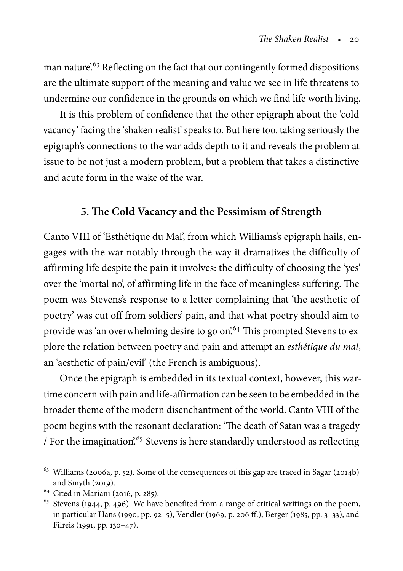man nature<sup>'63</sup> Reflecting on the fact that our contingently formed dispositions are the ultimate support of the meaning and value we see in life threatens to undermine our confidence in the grounds on which we find life worth living.

It is this problem of confidence that the other epigraph about the 'cold vacancy' facing the 'shaken realist' speaks to. But here too, taking seriously the epigraph's connections to the war adds depth to it and reveals the problem at issue to be not just a modern problem, but a problem that takes a distinctive and acute form in the wake of the war.

#### **5. The Cold Vacancy and the Pessimism of Strength**

Canto VIII of 'Esthétique du Mal', from which Williams's epigraph hails, engages with the war notably through the way it dramatizes the difficulty of affirming life despite the pain it involves: the difficulty of choosing the 'yes' over the 'mortal no', of affirming life in the face of meaningless suffering. The poem was Stevens's response to a letter complaining that 'the aesthetic of poetry' was cut off from soldiers' pain, and that what poetry should aim to provide was 'an overwhelming desire to go on'.<sup>64</sup> This prompted Stevens to explore the relation between poetry and pain and attempt an esthétique du mal, an 'aesthetic of pain/evil' (the French is ambiguous).

Once the epigraph is embedded in its textual context, however, this wartime concern with pain and life-affirmation can be seen to be embedded in the broader theme of the modern disenchantment of the world. Canto VIII of the poem begins with the resonant declaration: 'The death of Satan was a tragedy / For the imagination<sup>'65</sup> Stevens is here standardly understood as reflecting

<sup>63</sup> Williams (2006a, p. 52). Some of the consequences of this gap are traced in Sagar (2014b) and Smyth (2019).

<sup>64</sup> Cited in Mariani (2016, p. 285).

<sup>&</sup>lt;sup>65</sup> Stevens (1944, p. 496). We have benefited from a range of critical writings on the poem, in particular Hans (1990, pp. 92–5), Vendler (1969, p. 206 ff.), Berger (1985, pp. 3–33), and Filreis (1991, pp. 130–47).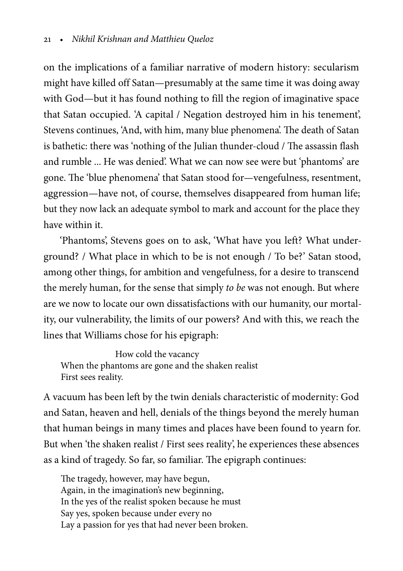on the implications of a familiar narrative of modern history: secularism might have killed off Satan—presumably at the same time it was doing away with God—but it has found nothing to fill the region of imaginative space that Satan occupied. 'A capital / Negation destroyed him in his tenement', Stevens continues, 'And, with him, many blue phenomena'. The death of Satan is bathetic: there was 'nothing of the Julian thunder-cloud / The assassin flash and rumble ... He was denied'. What we can now see were but 'phantoms' are gone. The 'blue phenomena' that Satan stood for—vengefulness, resentment, aggression—have not, of course, themselves disappeared from human life; but they now lack an adequate symbol to mark and account for the place they have within it.

'Phantoms', Stevens goes on to ask, 'What have you left? What underground? / What place in which to be is not enough / To be?' Satan stood, among other things, for ambition and vengefulness, for a desire to transcend the merely human, for the sense that simply to be was not enough. But where are we now to locate our own dissatisfactions with our humanity, our mortality, our vulnerability, the limits of our powers? And with this, we reach the lines that Williams chose for his epigraph:

How cold the vacancy When the phantoms are gone and the shaken realist First sees reality.

A vacuum has been left by the twin denials characteristic of modernity: God and Satan, heaven and hell, denials of the things beyond the merely human that human beings in many times and places have been found to yearn for. But when 'the shaken realist / First sees reality', he experiences these absences as a kind of tragedy. So far, so familiar. The epigraph continues:

The tragedy, however, may have begun, Again, in the imagination's new beginning, In the yes of the realist spoken because he must Say yes, spoken because under every no Lay a passion for yes that had never been broken.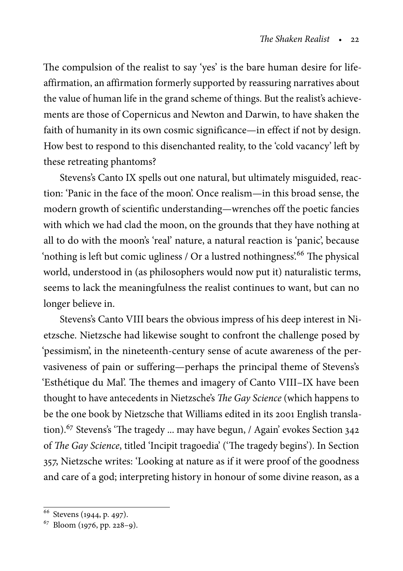The compulsion of the realist to say 'yes' is the bare human desire for lifeaffirmation, an affirmation formerly supported by reassuring narratives about the value of human life in the grand scheme of things. But the realist's achievements are those of Copernicus and Newton and Darwin, to have shaken the faith of humanity in its own cosmic significance—in effect if not by design. How best to respond to this disenchanted reality, to the 'cold vacancy' left by these retreating phantoms?

Stevens's Canto IX spells out one natural, but ultimately misguided, reaction: 'Panic in the face of the moon'. Once realism—in this broad sense, the modern growth of scientific understanding—wrenches off the poetic fancies with which we had clad the moon, on the grounds that they have nothing at all to do with the moon's 'real' nature, a natural reaction is 'panic', because 'nothing is left but comic ugliness / Or a lustred nothingness'.<sup>66</sup> The physical world, understood in (as philosophers would now put it) naturalistic terms, seems to lack the meaningfulness the realist continues to want, but can no longer believe in.

Stevens's Canto VIII bears the obvious impress of his deep interest in Nietzsche. Nietzsche had likewise sought to confront the challenge posed by 'pessimism', in the nineteenth-century sense of acute awareness of the pervasiveness of pain or suffering—perhaps the principal theme of Stevens's 'Esthétique du Mal'. The themes and imagery of Canto VIII–IX have been thought to have antecedents in Nietzsche's The Gay Science (which happens to be the one book by Nietzsche that Williams edited in its 2001 English translation).<sup>67</sup> Stevens's 'The tragedy ... may have begun, / Again' evokes Section 342 of The Gay Science, titled 'Incipit tragoedia' ('The tragedy begins'). In Section 357, Nietzsche writes: 'Looking at nature as if it were proof of the goodness and care of a god; interpreting history in honour of some divine reason, as a

<sup>66</sup> Stevens (1944, p. 497).

<sup>67</sup> Bloom (1976, pp. 228–9).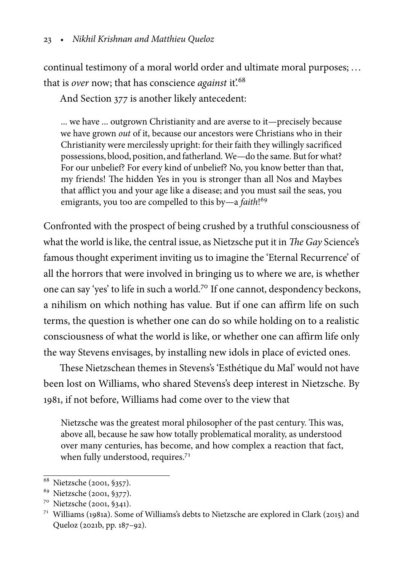continual testimony of a moral world order and ultimate moral purposes; .. . that is over now; that has conscience *against* it.<sup>68</sup>

And Section 377 is another likely antecedent:

... we have ... outgrown Christianity and are averse to it—precisely because we have grown out of it, because our ancestors were Christians who in their Christianity were mercilessly upright: for their faith they willingly sacrificed possessions, blood, position, and fatherland. We—do the same. But for what? For our unbelief? For every kind of unbelief? No, you know better than that, my friends! The hidden Yes in you is stronger than all Nos and Maybes that afflict you and your age like a disease; and you must sail the seas, you emigrants, you too are compelled to this by-a *faith*!<sup>69</sup>

Confronted with the prospect of being crushed by a truthful consciousness of what the world is like, the central issue, as Nietzsche put it in The Gay Science's famous thought experiment inviting us to imagine the 'Eternal Recurrence' of all the horrors that were involved in bringing us to where we are, is whether one can say 'yes' to life in such a world.<sup>70</sup> If one cannot, despondency beckons, a nihilism on which nothing has value. But if one can affirm life on such terms, the question is whether one can do so while holding on to a realistic consciousness of what the world is like, or whether one can affirm life only the way Stevens envisages, by installing new idols in place of evicted ones.

These Nietzschean themes in Stevens's 'Esthétique du Mal' would not have been lost on Williams, who shared Stevens's deep interest in Nietzsche. By 1981, if not before, Williams had come over to the view that

Nietzsche was the greatest moral philosopher of the past century. This was, above all, because he saw how totally problematical morality, as understood over many centuries, has become, and how complex a reaction that fact, when fully understood, requires.<sup>71</sup>

<sup>&</sup>lt;sup>68</sup> Nietzsche (2001, §357).

<sup>69</sup> Nietzsche (2001, §377).

<sup>70</sup> Nietzsche (2001, §341).

<sup>71</sup> Williams (1981a). Some of Williams's debts to Nietzsche are explored in Clark (2015) and Queloz (2021b, pp. 187–92).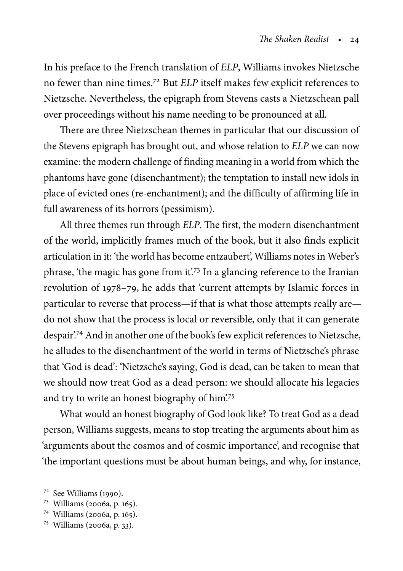In his preface to the French translation of ELP, Williams invokes Nietzsche no fewer than nine times.<sup>72</sup> But ELP itself makes few explicit references to Nietzsche. Nevertheless, the epigraph from Stevens casts a Nietzschean pall over proceedings without his name needing to be pronounced at all.

There are three Nietzschean themes in particular that our discussion of the Stevens epigraph has brought out, and whose relation to ELP we can now examine: the modern challenge of finding meaning in a world from which the phantoms have gone (disenchantment); the temptation to install new idols in place of evicted ones (re-enchantment); and the difficulty of affirming life in full awareness of its horrors (pessimism).

All three themes run through ELP. The first, the modern disenchantment of the world, implicitly frames much of the book, but it also finds explicit articulation in it: 'the world has become entzaubert', Williams notes in Weber's phrase, 'the magic has gone from it'.<sup>73</sup> In a glancing reference to the Iranian revolution of 1978–79, he adds that 'current attempts by Islamic forces in particular to reverse that process—if that is what those attempts really are do not show that the process is local or reversible, only that it can generate despair'.<sup>74</sup> And in another one of the book's few explicit references to Nietzsche, he alludes to the disenchantment of the world in terms of Nietzsche's phrase that 'God is dead': 'Nietzsche's saying, God is dead, can be taken to mean that we should now treat God as a dead person: we should allocate his legacies and try to write an honest biography of him?<sup>75</sup>

What would an honest biography of God look like? To treat God as a dead person, Williams suggests, means to stop treating the arguments about him as 'arguments about the cosmos and of cosmic importance', and recognise that 'the important questions must be about human beings, and why, for instance,

<sup>72</sup> See Williams (1990).

<sup>73</sup> Williams (2006a, p. 165).

<sup>74</sup> Williams (2006a, p. 165).

<sup>75</sup> Williams (2006a, p. 33).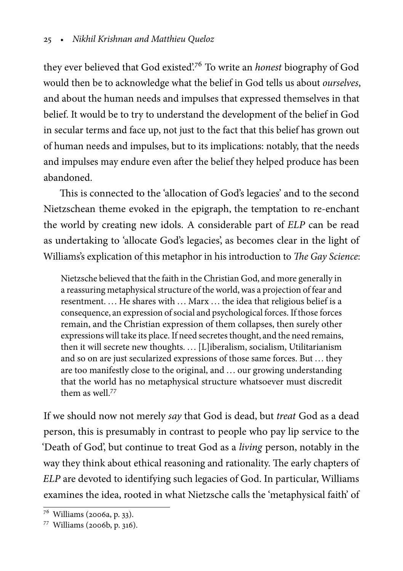they ever believed that God existed.<sup>76</sup> To write an *honest* biography of God would then be to acknowledge what the belief in God tells us about ourselves, and about the human needs and impulses that expressed themselves in that belief. It would be to try to understand the development of the belief in God in secular terms and face up, not just to the fact that this belief has grown out of human needs and impulses, but to its implications: notably, that the needs and impulses may endure even after the belief they helped produce has been abandoned.

This is connected to the 'allocation of God's legacies' and to the second Nietzschean theme evoked in the epigraph, the temptation to re-enchant the world by creating new idols. A considerable part of ELP can be read as undertaking to 'allocate God's legacies', as becomes clear in the light of Williams's explication of this metaphor in his introduction to The Gay Science:

Nietzsche believed that the faith in the Christian God, and more generally in a reassuring metaphysical structure of the world, was a projection of fear and resentment. .. . He shares with .. . Marx .. . the idea that religious belief is a consequence, an expression of social and psychological forces. If those forces remain, and the Christian expression of them collapses, then surely other expressions will take its place. If need secretes thought, and the need remains, then it will secrete new thoughts. . . . [L]iberalism, socialism, Utilitarianism and so on are just secularized expressions of those same forces. But . . . they are too manifestly close to the original, and ... our growing understanding that the world has no metaphysical structure whatsoever must discredit them as well.<sup>77</sup>

If we should now not merely say that God is dead, but treat God as a dead person, this is presumably in contrast to people who pay lip service to the 'Death of God', but continue to treat God as a living person, notably in the way they think about ethical reasoning and rationality. The early chapters of ELP are devoted to identifying such legacies of God. In particular, Williams examines the idea, rooted in what Nietzsche calls the 'metaphysical faith' of

<sup>76</sup> Williams (2006a, p. 33).

<sup>77</sup> Williams (2006b, p. 316).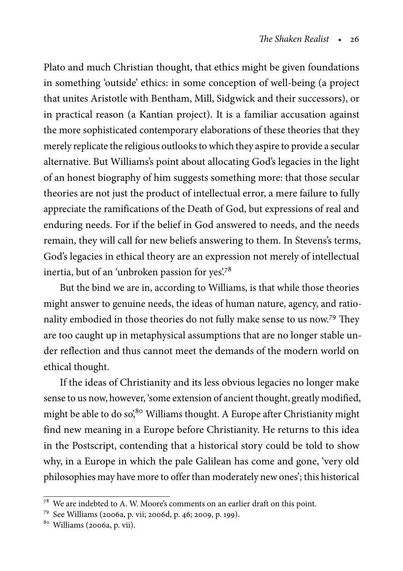Plato and much Christian thought, that ethics might be given foundations in something 'outside' ethics: in some conception of well-being (a project that unites Aristotle with Bentham, Mill, Sidgwick and their successors), or in practical reason (a Kantian project). It is a familiar accusation against the more sophisticated contemporary elaborations of these theories that they merely replicate the religious outlooks to which they aspire to provide a secular alternative. But Williams's point about allocating God's legacies in the light of an honest biography of him suggests something more: that those secular theories are not just the product of intellectual error, a mere failure to fully appreciate the ramifications of the Death of God, but expressions of real and enduring needs. For if the belief in God answered to needs, and the needs remain, they will call for new beliefs answering to them. In Stevens's terms, God's legacies in ethical theory are an expression not merely of intellectual inertia, but of an 'unbroken passion for yes'.<sup>78</sup>

But the bind we are in, according to Williams, is that while those theories might answer to genuine needs, the ideas of human nature, agency, and rationality embodied in those theories do not fully make sense to us now.<sup>79</sup> They are too caught up in metaphysical assumptions that are no longer stable under reflection and thus cannot meet the demands of the modern world on ethical thought.

If the ideas of Christianity and its less obvious legacies no longer make sense to us now, however, 'some extension of ancient thought, greatly modified, might be able to do so,<sup>80</sup> Williams thought. A Europe after Christianity might find new meaning in a Europe before Christianity. He returns to this idea in the Postscript, contending that a historical story could be told to show why, in a Europe in which the pale Galilean has come and gone, 'very old philosophies may have more to offer than moderately new ones'; this historical

 $78$  We are indebted to A. W. Moore's comments on an earlier draft on this point.

<sup>79</sup> See Williams (2006a, p. vii; 2006d, p. 46; 2009, p. 199).

<sup>80</sup> Williams (2006a, p. vii).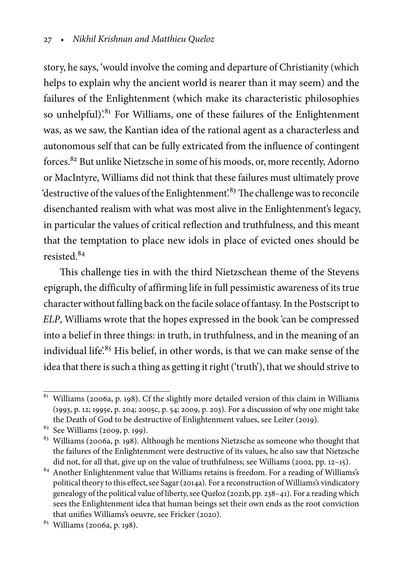story, he says, 'would involve the coming and departure of Christianity (which helps to explain why the ancient world is nearer than it may seem) and the failures of the Enlightenment (which make its characteristic philosophies so unhelpful).<sup>81</sup> For Williams, one of these failures of the Enlightenment was, as we saw, the Kantian idea of the rational agent as a characterless and autonomous self that can be fully extricated from the influence of contingent forces.<sup>82</sup> But unlike Nietzsche in some of his moods, or, more recently, Adorno or MacIntyre, Williams did not think that these failures must ultimately prove 'destructive of the values of the Enlightenment'.<sup>83</sup> The challenge was to reconcile disenchanted realism with what was most alive in the Enlightenment's legacy, in particular the values of critical reflection and truthfulness, and this meant that the temptation to place new idols in place of evicted ones should be resisted.<sup>84</sup>

This challenge ties in with the third Nietzschean theme of the Stevens epigraph, the difficulty of affirming life in full pessimistic awareness of its true character without falling back on the facile solace of fantasy. In the Postscript to ELP, Williams wrote that the hopes expressed in the book 'can be compressed into a belief in three things: in truth, in truthfulness, and in the meaning of an individual life.<sup>85</sup> His belief, in other words, is that we can make sense of the idea that there is such a thing as getting it right ('truth'), that we should strive to

 $81$  Williams (2006a, p. 198). Cf the slightly more detailed version of this claim in Williams (1993, p. 12; 1995e, p. 204; 2005c, p. 54; 2009, p. 203). For a discussion of why one might take the Death of God to be destructive of Enlightenment values, see Leiter (2019).

 $82$  See Williams (2009, p. 199).

<sup>&</sup>lt;sup>83</sup> Williams (2006a, p. 198). Although he mentions Nietzsche as someone who thought that the failures of the Enlightenment were destructive of its values, he also saw that Nietzsche did not, for all that, give up on the value of truthfulness; see Williams (2002, pp. 12–15).

<sup>84</sup> Another Enlightenment value that Williams retains is freedom. For a reading of Williams's political theory to this effect, see Sagar (2014a). For a reconstruction ofWilliams's vindicatory genealogy of the political value of liberty, see Queloz (2021b, pp. 238–41). For a reading which sees the Enlightenment idea that human beings set their own ends as the root conviction that unifies Williams's oeuvre, see Fricker (2020).

<sup>85</sup> Williams (2006a, p. 198).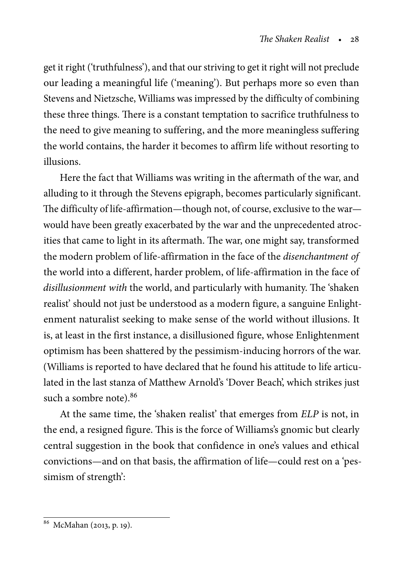get it right ('truthfulness'), and that our striving to get it right will not preclude our leading a meaningful life ('meaning'). But perhaps more so even than Stevens and Nietzsche, Williams was impressed by the difficulty of combining these three things. There is a constant temptation to sacrifice truthfulness to the need to give meaning to suffering, and the more meaningless suffering the world contains, the harder it becomes to affirm life without resorting to illusions.

Here the fact that Williams was writing in the aftermath of the war, and alluding to it through the Stevens epigraph, becomes particularly significant. The difficulty of life-affirmation—though not, of course, exclusive to the war would have been greatly exacerbated by the war and the unprecedented atrocities that came to light in its aftermath. The war, one might say, transformed the modern problem of life-affirmation in the face of the disenchantment of the world into a different, harder problem, of life-affirmation in the face of disillusionment with the world, and particularly with humanity. The 'shaken realist' should not just be understood as a modern figure, a sanguine Enlightenment naturalist seeking to make sense of the world without illusions. It is, at least in the first instance, a disillusioned figure, whose Enlightenment optimism has been shattered by the pessimism-inducing horrors of the war. (Williams is reported to have declared that he found his attitude to life articulated in the last stanza of Matthew Arnold's 'Dover Beach', which strikes just such a sombre note).<sup>86</sup>

At the same time, the 'shaken realist' that emerges from ELP is not, in the end, a resigned figure. This is the force of Williams's gnomic but clearly central suggestion in the book that confidence in one's values and ethical convictions—and on that basis, the affirmation of life—could rest on a 'pessimism of strength':

<sup>86</sup> McMahan (2013, p. 19).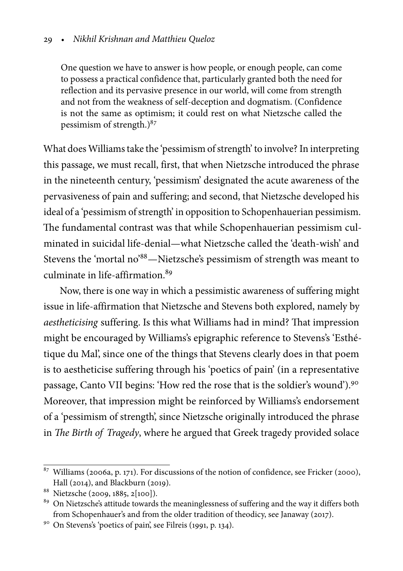#### [29](#page-0-0) • Nikhil Krishnan and Matthieu Queloz

One question we have to answer is how people, or enough people, can come to possess a practical confidence that, particularly granted both the need for reflection and its pervasive presence in our world, will come from strength and not from the weakness of self-deception and dogmatism. (Confidence is not the same as optimism; it could rest on what Nietzsche called the pessimism of strength.) $87$ 

What does Williams take the 'pessimism of strength' to involve? In interpreting this passage, we must recall, first, that when Nietzsche introduced the phrase in the nineteenth century, 'pessimism' designated the acute awareness of the pervasiveness of pain and suffering; and second, that Nietzsche developed his ideal of a 'pessimism of strength' in opposition to Schopenhauerian pessimism. The fundamental contrast was that while Schopenhauerian pessimism culminated in suicidal life-denial—what Nietzsche called the 'death-wish' and Stevens the 'mortal no'88—Nietzsche's pessimism of strength was meant to culminate in life-affirmation.<sup>89</sup>

Now, there is one way in which a pessimistic awareness of suffering might issue in life-affirmation that Nietzsche and Stevens both explored, namely by aestheticising suffering. Is this what Williams had in mind? That impression might be encouraged by Williams's epigraphic reference to Stevens's 'Esthétique du Mal', since one of the things that Stevens clearly does in that poem is to aestheticise suffering through his 'poetics of pain' (in a representative passage, Canto VII begins: 'How red the rose that is the soldier's wound').<sup>90</sup> Moreover, that impression might be reinforced by Williams's endorsement of a 'pessimism of strength', since Nietzsche originally introduced the phrase in The Birth of Tragedy, where he argued that Greek tragedy provided solace

 $87$  Williams (2006a, p. 171). For discussions of the notion of confidence, see Fricker (2000), Hall (2014), and Blackburn (2019).

<sup>88</sup> Nietzsche (2009, 1885, 2[100]).

<sup>&</sup>lt;sup>89</sup> On Nietzsche's attitude towards the meaninglessness of suffering and the way it differs both from Schopenhauer's and from the older tradition of theodicy, see Janaway (2017).

<sup>90</sup> On Stevens's 'poetics of pain', see Filreis (1991, p. 134).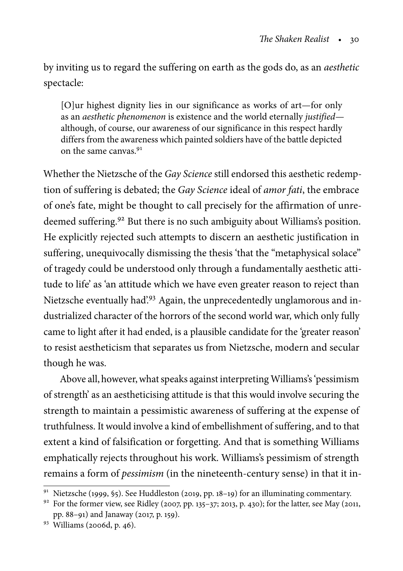by inviting us to regard the suffering on earth as the gods do, as an aesthetic spectacle:

[O]ur highest dignity lies in our significance as works of art—for only as an aesthetic phenomenon is existence and the world eternally justified although, of course, our awareness of our significance in this respect hardly differs from the awareness which painted soldiers have of the battle depicted on the same canvas.<sup>91</sup>

Whether the Nietzsche of the Gay Science still endorsed this aesthetic redemption of suffering is debated; the Gay Science ideal of amor fati, the embrace of one's fate, might be thought to call precisely for the affirmation of unredeemed suffering.<sup>92</sup> But there is no such ambiguity about Williams's position. He explicitly rejected such attempts to discern an aesthetic justification in suffering, unequivocally dismissing the thesis 'that the "metaphysical solace" of tragedy could be understood only through a fundamentally aesthetic attitude to life' as 'an attitude which we have even greater reason to reject than Nietzsche eventually had?<sup>93</sup> Again, the unprecedentedly unglamorous and industrialized character of the horrors of the second world war, which only fully came to light after it had ended, is a plausible candidate for the 'greater reason' to resist aestheticism that separates us from Nietzsche, modern and secular though he was.

Above all, however, what speaks against interpreting Williams's 'pessimism of strength' as an aestheticising attitude is that this would involve securing the strength to maintain a pessimistic awareness of suffering at the expense of truthfulness. It would involve a kind of embellishment of suffering, and to that extent a kind of falsification or forgetting. And that is something Williams emphatically rejects throughout his work. Williams's pessimism of strength remains a form of pessimism (in the nineteenth-century sense) in that it in-

<sup>91</sup> Nietzsche (1999, §5). See Huddleston (2019, pp. 18–19) for an illuminating commentary.

<sup>92</sup> For the former view, see Ridley (2007, pp. 135-37; 2013, p. 430); for the latter, see May (2011, pp. 88–91) and Janaway (2017, p. 159).

<sup>93</sup> Williams (2006d, p. 46).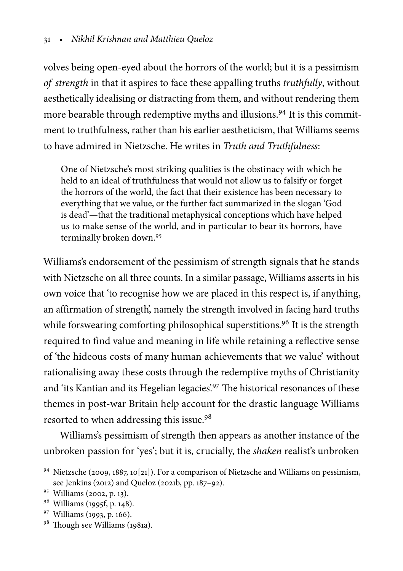volves being open-eyed about the horrors of the world; but it is a pessimism of strength in that it aspires to face these appalling truths truthfully, without aesthetically idealising or distracting from them, and without rendering them more bearable through redemptive myths and illusions.<sup>94</sup> It is this commitment to truthfulness, rather than his earlier aestheticism, that Williams seems to have admired in Nietzsche. He writes in Truth and Truthfulness:

One of Nietzsche's most striking qualities is the obstinacy with which he held to an ideal of truthfulness that would not allow us to falsify or forget the horrors of the world, the fact that their existence has been necessary to everything that we value, or the further fact summarized in the slogan 'God is dead'—that the traditional metaphysical conceptions which have helped us to make sense of the world, and in particular to bear its horrors, have terminally broken down.<sup>95</sup>

Williams's endorsement of the pessimism of strength signals that he stands with Nietzsche on all three counts. In a similar passage, Williams asserts in his own voice that 'to recognise how we are placed in this respect is, if anything, an affirmation of strength', namely the strength involved in facing hard truths while forswearing comforting philosophical superstitions.<sup>96</sup> It is the strength required to find value and meaning in life while retaining a reflective sense of 'the hideous costs of many human achievements that we value' without rationalising away these costs through the redemptive myths of Christianity and 'its Kantian and its Hegelian legacies'.<sup>97</sup> The historical resonances of these themes in post-war Britain help account for the drastic language Williams resorted to when addressing this issue.<sup>98</sup>

Williams's pessimism of strength then appears as another instance of the unbroken passion for 'yes'; but it is, crucially, the shaken realist's unbroken

<sup>94</sup> Nietzsche (2009, 1887, 10[21]). For a comparison of Nietzsche and Williams on pessimism, see Jenkins (2012) and Queloz (2021b, pp. 187–92).

<sup>95</sup> Williams (2002, p. 13).

<sup>96</sup> Williams (1995f, p. 148).

<sup>97</sup> Williams (1993, p. 166).

<sup>98</sup> Though see Williams (1981a).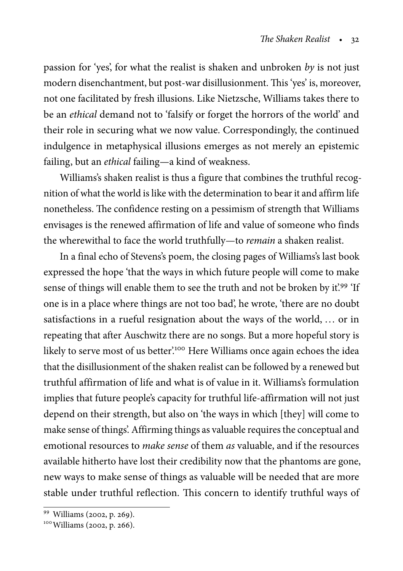passion for 'yes', for what the realist is shaken and unbroken by is not just modern disenchantment, but post-war disillusionment. This 'yes' is, moreover, not one facilitated by fresh illusions. Like Nietzsche, Williams takes there to be an ethical demand not to 'falsify or forget the horrors of the world' and their role in securing what we now value. Correspondingly, the continued indulgence in metaphysical illusions emerges as not merely an epistemic failing, but an ethical failing—a kind of weakness.

Williams's shaken realist is thus a figure that combines the truthful recognition of what the world is like with the determination to bear it and affirm life nonetheless. The confidence resting on a pessimism of strength that Williams envisages is the renewed affirmation of life and value of someone who finds the wherewithal to face the world truthfully—to remain a shaken realist.

In a final echo of Stevens's poem, the closing pages of Williams's last book expressed the hope 'that the ways in which future people will come to make sense of things will enable them to see the truth and not be broken by it.<sup>99</sup> 'If one is in a place where things are not too bad', he wrote, 'there are no doubt satisfactions in a rueful resignation about the ways of the world, ... or in repeating that after Auschwitz there are no songs. But a more hopeful story is likely to serve most of us better'.<sup>100</sup> Here Williams once again echoes the idea that the disillusionment of the shaken realist can be followed by a renewed but truthful affirmation of life and what is of value in it. Williams's formulation implies that future people's capacity for truthful life-affirmation will not just depend on their strength, but also on 'the ways in which [they] will come to make sense of things'. Affirming things as valuable requires the conceptual and emotional resources to make sense of them as valuable, and if the resources available hitherto have lost their credibility now that the phantoms are gone, new ways to make sense of things as valuable will be needed that are more stable under truthful reflection. This concern to identify truthful ways of

<sup>99</sup> Williams (2002, p. 269).

<sup>&</sup>lt;sup>100</sup> Williams (2002, p. 266).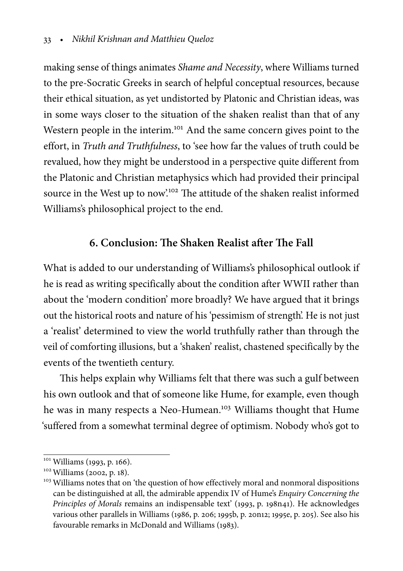making sense of things animates Shame and Necessity, where Williams turned to the pre-Socratic Greeks in search of helpful conceptual resources, because their ethical situation, as yet undistorted by Platonic and Christian ideas, was in some ways closer to the situation of the shaken realist than that of any Western people in the interim.<sup>101</sup> And the same concern gives point to the effort, in Truth and Truthfulness, to 'see how far the values of truth could be revalued, how they might be understood in a perspective quite different from the Platonic and Christian metaphysics which had provided their principal source in the West up to now.<sup>102</sup> The attitude of the shaken realist informed Williams's philosophical project to the end.

# **6. Conclusion: The Shaken Realist after The Fall**

What is added to our understanding of Williams's philosophical outlook if he is read as writing specifically about the condition after WWII rather than about the 'modern condition' more broadly? We have argued that it brings out the historical roots and nature of his 'pessimism of strength'. He is not just a 'realist' determined to view the world truthfully rather than through the veil of comforting illusions, but a 'shaken' realist, chastened specifically by the events of the twentieth century.

This helps explain why Williams felt that there was such a gulf between his own outlook and that of someone like Hume, for example, even though he was in many respects a Neo-Humean.<sup>103</sup> Williams thought that Hume 'suffered from a somewhat terminal degree of optimism. Nobody who's got to

<sup>&</sup>lt;sup>101</sup> Williams (1993, p. 166).

<sup>&</sup>lt;sup>102</sup> Williams (2002, p. 18).

<sup>&</sup>lt;sup>103</sup> Williams notes that on 'the question of how effectively moral and nonmoral dispositions can be distinguished at all, the admirable appendix IV of Hume's Enquiry Concerning the Principles of Morals remains an indispensable text' (1993, p. 198n41). He acknowledges various other parallels in Williams (1986, p. 206; 1995b, p. 20n12; 1995e, p. 205). See also his favourable remarks in McDonald and Williams (1983).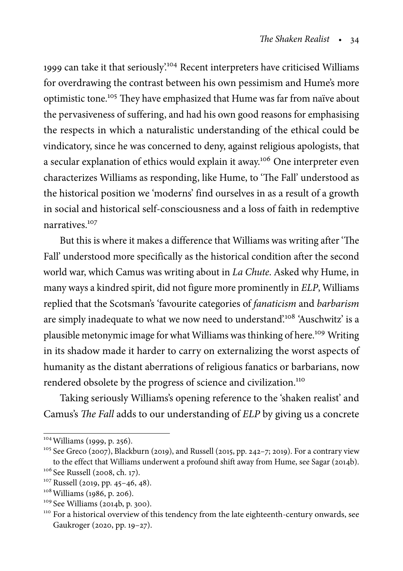1999 can take it that seriously'.<sup>104</sup> Recent interpreters have criticised Williams for overdrawing the contrast between his own pessimism and Hume's more optimistic tone.<sup>105</sup> They have emphasized that Hume was far from naïve about the pervasiveness of suffering, and had his own good reasons for emphasising the respects in which a naturalistic understanding of the ethical could be vindicatory, since he was concerned to deny, against religious apologists, that a secular explanation of ethics would explain it away.<sup>106</sup> One interpreter even characterizes Williams as responding, like Hume, to 'The Fall' understood as the historical position we 'moderns' find ourselves in as a result of a growth in social and historical self-consciousness and a loss of faith in redemptive narratives<sup>107</sup>

But this is where it makes a difference that Williams was writing after 'The Fall' understood more specifically as the historical condition after the second world war, which Camus was writing about in La Chute. Asked why Hume, in many ways a kindred spirit, did not figure more prominently in ELP, Williams replied that the Scotsman's 'favourite categories of fanaticism and barbarism are simply inadequate to what we now need to understand.<sup>108</sup> 'Auschwitz' is a plausible metonymic image for what Williams was thinking of here.<sup>109</sup> Writing in its shadow made it harder to carry on externalizing the worst aspects of humanity as the distant aberrations of religious fanatics or barbarians, now rendered obsolete by the progress of science and civilization.<sup>110</sup>

Taking seriously Williams's opening reference to the 'shaken realist' and Camus's The Fall adds to our understanding of ELP by giving us a concrete

<sup>104</sup>Williams (1999, p. 256).

<sup>&</sup>lt;sup>105</sup> See Greco (2007), Blackburn (2019), and Russell (2015, pp. 242-7; 2019). For a contrary view to the effect that Williams underwent a profound shift away from Hume, see Sagar (2014b).

<sup>106</sup> See Russell (2008, ch. 17).

<sup>107</sup> Russell (2019, pp. 45–46, 48).

<sup>108</sup>Williams (1986, p. 206).

<sup>109</sup> See Williams (2014b, p. 300).

<sup>&</sup>lt;sup>110</sup> For a historical overview of this tendency from the late eighteenth-century onwards, see Gaukroger (2020, pp. 19–27).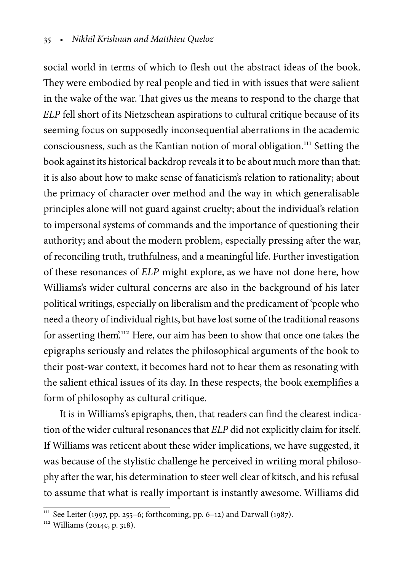social world in terms of which to flesh out the abstract ideas of the book. They were embodied by real people and tied in with issues that were salient in the wake of the war. That gives us the means to respond to the charge that ELP fell short of its Nietzschean aspirations to cultural critique because of its seeming focus on supposedly inconsequential aberrations in the academic consciousness, such as the Kantian notion of moral obligation.<sup>111</sup> Setting the book against its historical backdrop reveals it to be about much more than that: it is also about how to make sense of fanaticism's relation to rationality; about the primacy of character over method and the way in which generalisable principles alone will not guard against cruelty; about the individual's relation to impersonal systems of commands and the importance of questioning their authority; and about the modern problem, especially pressing after the war, of reconciling truth, truthfulness, and a meaningful life. Further investigation of these resonances of ELP might explore, as we have not done here, how Williams's wider cultural concerns are also in the background of his later political writings, especially on liberalism and the predicament of 'people who need a theory of individual rights, but have lost some of the traditional reasons for asserting them'.<sup>112</sup> Here, our aim has been to show that once one takes the epigraphs seriously and relates the philosophical arguments of the book to their post-war context, it becomes hard not to hear them as resonating with the salient ethical issues of its day. In these respects, the book exemplifies a form of philosophy as cultural critique.

It is in Williams's epigraphs, then, that readers can find the clearest indication of the wider cultural resonances that ELP did not explicitly claim for itself. If Williams was reticent about these wider implications, we have suggested, it was because of the stylistic challenge he perceived in writing moral philosophy after the war, his determination to steer well clear of kitsch, and his refusal to assume that what is really important is instantly awesome. Williams did

<sup>&</sup>lt;sup>111</sup> See Leiter (1997, pp. 255–6; forthcoming, pp. 6–12) and Darwall (1987).

<sup>112</sup> Williams (2014c, p. 318).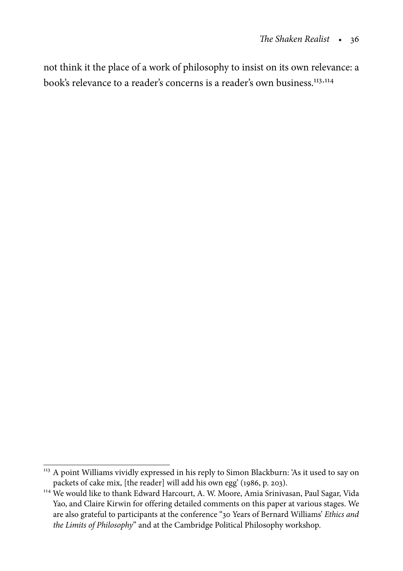not think it the place of a work of philosophy to insist on its own relevance: a book's relevance to a reader's concerns is a reader's own business.<sup>113,114</sup>

 $^{113}$  A point Williams vividly expressed in his reply to Simon Blackburn: 'As it used to say on packets of cake mix, [the reader] will add his own egg' (1986, p. 203).

<sup>&</sup>lt;sup>114</sup> We would like to thank Edward Harcourt, A. W. Moore, Amia Srinivasan, Paul Sagar, Vida Yao, and Claire Kirwin for offering detailed comments on this paper at various stages. We are also grateful to participants at the conference "30 Years of Bernard Williams' Ethics and the Limits of Philosophy" and at the Cambridge Political Philosophy workshop.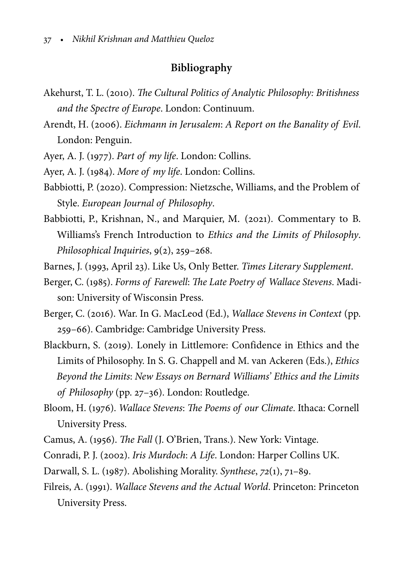# **Bibliography**

- Akehurst, T. L. (2010). The Cultural Politics of Analytic Philosophy: Britishness and the Spectre of Europe. London: Continuum.
- Arendt, H. (2006). Eichmann in Jerusalem: A Report on the Banality of Evil. London: Penguin.
- Ayer, A. J. (1977). Part of my life. London: Collins.
- Ayer, A. J. (1984). More of my life. London: Collins.
- Babbiotti, P. (2020). Compression: Nietzsche, Williams, and the Problem of Style. European Journal of Philosophy.
- Babbiotti, P., Krishnan, N., and Marquier, M. (2021). Commentary to B. Williams's French Introduction to Ethics and the Limits of Philosophy. Philosophical Inquiries, 9(2), 259–268.
- Barnes, J. (1993, April 23). Like Us, Only Better. Times Literary Supplement.
- Berger, C. (1985). Forms of Farewell: The Late Poetry of Wallace Stevens. Madison: University of Wisconsin Press.
- Berger, C. (2016). War. In G. MacLeod (Ed.), Wallace Stevens in Context (pp. 259–66). Cambridge: Cambridge University Press.
- Blackburn, S. (2019). Lonely in Littlemore: Confidence in Ethics and the Limits of Philosophy. In S. G. Chappell and M. van Ackeren (Eds.), Ethics Beyond the Limits: New Essays on Bernard Williams' Ethics and the Limits of Philosophy (pp. 27–36). London: Routledge.
- Bloom, H. (1976). Wallace Stevens: The Poems of our Climate. Ithaca: Cornell University Press.
- Camus, A. (1956). The Fall (J. O'Brien, Trans.). New York: Vintage.
- Conradi, P. J. (2002). Iris Murdoch: A Life. London: Harper Collins UK.
- Darwall, S. L. (1987). Abolishing Morality. Synthese, 72(1), 71–89.
- Filreis, A. (1991). Wallace Stevens and the Actual World. Princeton: Princeton University Press.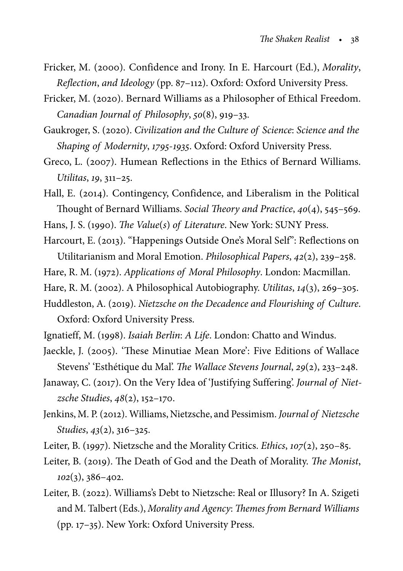- Fricker, M. (2000). Confidence and Irony. In E. Harcourt (Ed.), Morality, Reflection, and Ideology (pp. 87–112). Oxford: Oxford University Press.
- Fricker, M. (2020). Bernard Williams as a Philosopher of Ethical Freedom. Canadian Journal of Philosophy, 50(8), 919–33.
- Gaukroger, S. (2020). Civilization and the Culture of Science: Science and the Shaping of Modernity, 1795-1935. Oxford: Oxford University Press.
- Greco, L. (2007). Humean Reflections in the Ethics of Bernard Williams. Utilitas, 19, 311–25.
- Hall, E. (2014). Contingency, Confidence, and Liberalism in the Political Thought of Bernard Williams. Social Theory and Practice, 40(4), 545–569.
- Hans, J. S. (1990). The Value(s) of Literature. New York: SUNY Press.
- Harcourt, E. (2013). "Happenings Outside One's Moral Self": Reflections on Utilitarianism and Moral Emotion. Philosophical Papers, 42(2), 239–258.
- Hare, R. M. (1972). Applications of Moral Philosophy. London: Macmillan.
- Hare, R. M. (2002). A Philosophical Autobiography. Utilitas, 14(3), 269–305.
- Huddleston, A. (2019). Nietzsche on the Decadence and Flourishing of Culture. Oxford: Oxford University Press.
- Ignatieff, M. (1998). Isaiah Berlin: A Life. London: Chatto and Windus.
- Jaeckle, J. (2005). 'These Minutiae Mean More': Five Editions of Wallace Stevens' 'Esthétique du Mal'. The Wallace Stevens Journal, 29(2), 233–248.
- Janaway, C. (2017). On the Very Idea of 'Justifying Suffering'. Journal of Nietzsche Studies, 48(2), 152–170.
- Jenkins, M. P. (2012). Williams, Nietzsche, and Pessimism. Journal of Nietzsche Studies, 43(2), 316–325.
- Leiter, B. (1997). Nietzsche and the Morality Critics. Ethics, 107(2), 250–85.
- Leiter, B. (2019). The Death of God and the Death of Morality. The Monist,  $102(3), 386 - 402.$
- Leiter, B. (2022). Williams's Debt to Nietzsche: Real or Illusory? In A. Szigeti and M. Talbert (Eds.), Morality and Agency: Themes from Bernard Williams (pp. 17–35). New York: Oxford University Press.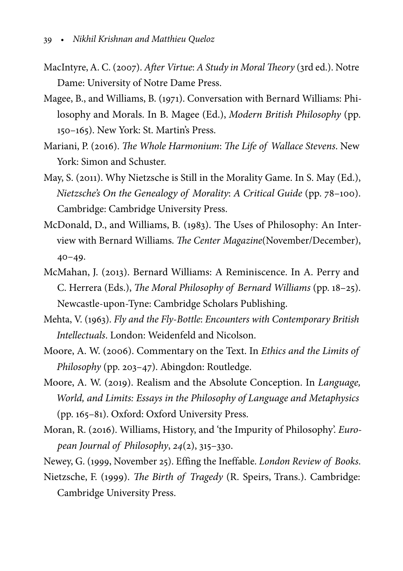- MacIntyre, A. C. (2007). After Virtue: A Study in Moral Theory (3rd ed.). Notre Dame: University of Notre Dame Press.
- Magee, B., and Williams, B. (1971). Conversation with Bernard Williams: Philosophy and Morals. In B. Magee (Ed.), Modern British Philosophy (pp. 150–165). New York: St. Martin's Press.
- Mariani, P. (2016). The Whole Harmonium: The Life of Wallace Stevens. New York: Simon and Schuster.
- May, S. (2011). Why Nietzsche is Still in the Morality Game. In S. May (Ed.), Nietzsche's On the Genealogy of Morality: A Critical Guide (pp. 78–100). Cambridge: Cambridge University Press.
- McDonald, D., and Williams, B. (1983). The Uses of Philosophy: An Interview with Bernard Williams. The Center Magazine(November/December), 40–49.
- McMahan, J. (2013). Bernard Williams: A Reminiscence. In A. Perry and C. Herrera (Eds.), The Moral Philosophy of Bernard Williams (pp. 18–25). Newcastle-upon-Tyne: Cambridge Scholars Publishing.
- Mehta, V. (1963). Fly and the Fly-Bottle: Encounters with Contemporary British Intellectuals. London: Weidenfeld and Nicolson.
- Moore, A. W. (2006). Commentary on the Text. In Ethics and the Limits of Philosophy (pp. 203–47). Abingdon: Routledge.
- Moore, A. W. (2019). Realism and the Absolute Conception. In Language, World, and Limits: Essays in the Philosophy of Language and Metaphysics (pp. 165–81). Oxford: Oxford University Press.
- Moran, R. (2016). Williams, History, and 'the Impurity of Philosophy'. European Journal of Philosophy, 24(2), 315–330.
- Newey, G. (1999, November 25). Effing the Ineffable. London Review of Books.
- Nietzsche, F. (1999). The Birth of Tragedy (R. Speirs, Trans.). Cambridge: Cambridge University Press.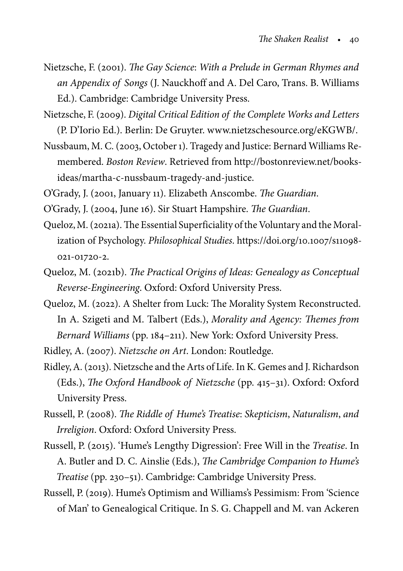- Nietzsche, F. (2001). The Gay Science: With a Prelude in German Rhymes and an Appendix of Songs (J. Nauckhoff and A. Del Caro, Trans. B. Williams Ed.). Cambridge: Cambridge University Press.
- Nietzsche, F. (2009). Digital Critical Edition of the Complete Works and Letters (P. D'Iorio Ed.). Berlin: De Gruyter. www.nietzschesource.org/eKGWB/.
- Nussbaum, M. C. (2003, October 1). Tragedy and Justice: Bernard Williams Remembered. Boston Review. Retrieved from http://bostonreview.net/booksideas/martha-c-nussbaum-tragedy-and-justice.

O'Grady, J. (2001, January 11). Elizabeth Anscombe. The Guardian.

O'Grady, J. (2004, June 16). Sir Stuart Hampshire. The Guardian.

- Queloz,M. (2021a). The Essential Superficiality of the Voluntary and the Moralization of Psychology. Philosophical Studies. https://doi.org/10.1007/s11098- 021-01720-2.
- Queloz, M. (2021b). The Practical Origins of Ideas: Genealogy as Conceptual Reverse-Engineering. Oxford: Oxford University Press.
- Queloz, M. (2022). A Shelter from Luck: The Morality System Reconstructed. In A. Szigeti and M. Talbert (Eds.), Morality and Agency: Themes from Bernard Williams (pp. 184–211). New York: Oxford University Press.

Ridley, A. (2007). Nietzsche on Art. London: Routledge.

- Ridley, A. (2013). Nietzsche and the Arts of Life. In K. Gemes and J. Richardson (Eds.), The Oxford Handbook of Nietzsche (pp. 415–31). Oxford: Oxford University Press.
- Russell, P. (2008). The Riddle of Hume's Treatise: Skepticism, Naturalism, and Irreligion. Oxford: Oxford University Press.
- Russell, P. (2015). 'Hume's Lengthy Digression': Free Will in the Treatise. In A. Butler and D. C. Ainslie (Eds.), The Cambridge Companion to Hume's Treatise (pp. 230–51). Cambridge: Cambridge University Press.
- Russell, P. (2019). Hume's Optimism and Williams's Pessimism: From 'Science of Man' to Genealogical Critique. In S. G. Chappell and M. van Ackeren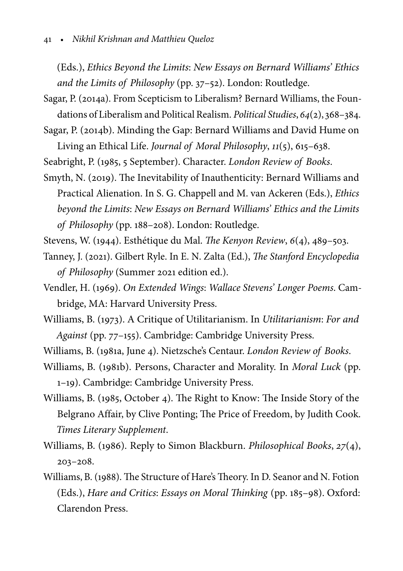(Eds.), Ethics Beyond the Limits: New Essays on Bernard Williams' Ethics and the Limits of Philosophy (pp. 37–52). London: Routledge.

- Sagar, P. (2014a). From Scepticism to Liberalism? Bernard Williams, the Foundations of Liberalism and Political Realism. Political Studies, 64(2), 368–384.
- Sagar, P. (2014b). Minding the Gap: Bernard Williams and David Hume on Living an Ethical Life. Journal of Moral Philosophy, 11(5), 615–638.
- Seabright, P. (1985, 5 September). Character. London Review of Books.
- Smyth, N. (2019). The Inevitability of Inauthenticity: Bernard Williams and Practical Alienation. In S. G. Chappell and M. van Ackeren (Eds.), Ethics beyond the Limits: New Essays on Bernard Williams' Ethics and the Limits of Philosophy (pp. 188–208). London: Routledge.
- Stevens, W. (1944). Esthétique du Mal. The Kenyon Review, 6(4), 489–503.
- Tanney, J. (2021). Gilbert Ryle. In E. N. Zalta (Ed.), The Stanford Encyclopedia of Philosophy (Summer 2021 edition ed.).
- Vendler, H. (1969). On Extended Wings: Wallace Stevens' Longer Poems. Cambridge, MA: Harvard University Press.
- Williams, B. (1973). A Critique of Utilitarianism. In Utilitarianism: For and Against (pp. 77–155). Cambridge: Cambridge University Press.
- Williams, B. (1981a, June 4). Nietzsche's Centaur. London Review of Books.
- Williams, B. (1981b). Persons, Character and Morality. In Moral Luck (pp. 1–19). Cambridge: Cambridge University Press.
- Williams, B. (1985, October 4). The Right to Know: The Inside Story of the Belgrano Affair, by Clive Ponting; The Price of Freedom, by Judith Cook. Times Literary Supplement.
- Williams, B. (1986). Reply to Simon Blackburn. Philosophical Books, 27(4), 203–208.
- Williams, B. (1988). The Structure of Hare's Theory. In D. Seanor and N. Fotion (Eds.), Hare and Critics: Essays on Moral Thinking (pp. 185–98). Oxford: Clarendon Press.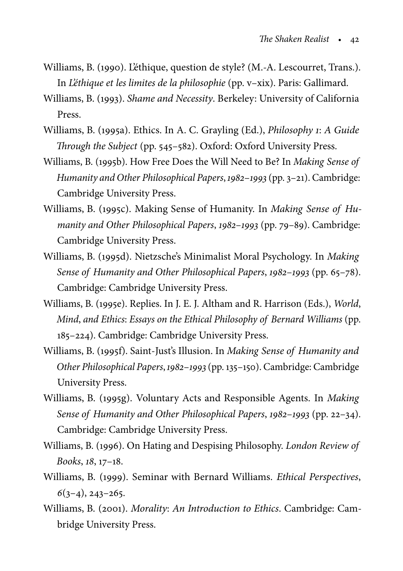- Williams, B. (1990). L'éthique, question de style? (M.-A. Lescourret, Trans.). In L'éthique et les limites de la philosophie (pp. v–xix). Paris: Gallimard.
- Williams, B. (1993). Shame and Necessity. Berkeley: University of California Press.
- Williams, B. (1995a). Ethics. In A. C. Grayling (Ed.), Philosophy 1: A Guide Through the Subject (pp. 545–582). Oxford: Oxford University Press.
- Williams, B. (1995b). How Free Does the Will Need to Be? In Making Sense of Humanity and Other Philosophical Papers, 1982–1993 (pp. 3–21). Cambridge: Cambridge University Press.
- Williams, B. (1995c). Making Sense of Humanity. In Making Sense of Humanity and Other Philosophical Papers, 1982–1993 (pp. 79–89). Cambridge: Cambridge University Press.
- Williams, B. (1995d). Nietzsche's Minimalist Moral Psychology. In Making Sense of Humanity and Other Philosophical Papers, 1982–1993 (pp. 65–78). Cambridge: Cambridge University Press.
- Williams, B. (1995e). Replies. In J. E. J. Altham and R. Harrison (Eds.), World, Mind, and Ethics: Essays on the Ethical Philosophy of Bernard Williams (pp. 185–224). Cambridge: Cambridge University Press.
- Williams, B. (1995f). Saint-Just's Illusion. In Making Sense of Humanity and Other Philosophical Papers,1982–1993(pp. 135–150). Cambridge: Cambridge University Press.
- Williams, B. (1995g). Voluntary Acts and Responsible Agents. In Making Sense of Humanity and Other Philosophical Papers, 1982–1993 (pp. 22–34). Cambridge: Cambridge University Press.
- Williams, B. (1996). On Hating and Despising Philosophy. London Review of Books, 18, 17–18.
- Williams, B. (1999). Seminar with Bernard Williams. Ethical Perspectives,  $6(3-4), 243-265.$
- Williams, B. (2001). Morality: An Introduction to Ethics. Cambridge: Cambridge University Press.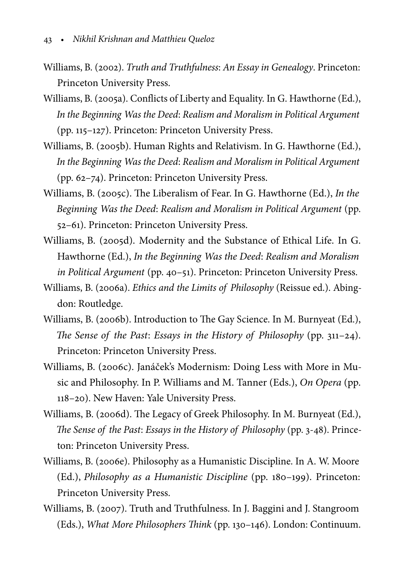- Williams, B. (2002). Truth and Truthfulness: An Essay in Genealogy. Princeton: Princeton University Press.
- Williams, B. (2005a). Conflicts of Liberty and Equality. In G. Hawthorne (Ed.), In the Beginning Was the Deed: Realism and Moralism in Political Argument (pp. 115–127). Princeton: Princeton University Press.
- Williams, B. (2005b). Human Rights and Relativism. In G. Hawthorne (Ed.), In the Beginning Was the Deed: Realism and Moralism in Political Argument (pp. 62–74). Princeton: Princeton University Press.
- Williams, B. (2005c). The Liberalism of Fear. In G. Hawthorne (Ed.), In the Beginning Was the Deed: Realism and Moralism in Political Argument (pp. 52–61). Princeton: Princeton University Press.
- Williams, B. (2005d). Modernity and the Substance of Ethical Life. In G. Hawthorne (Ed.), In the Beginning Was the Deed: Realism and Moralism in Political Argument (pp. 40–51). Princeton: Princeton University Press.
- Williams, B. (2006a). Ethics and the Limits of Philosophy (Reissue ed.). Abingdon: Routledge.
- Williams, B. (2006b). Introduction to The Gay Science. In M. Burnyeat (Ed.), The Sense of the Past: Essays in the History of Philosophy (pp. 311–24). Princeton: Princeton University Press.
- Williams, B. (2006c). Janáček's Modernism: Doing Less with More in Music and Philosophy. In P. Williams and M. Tanner (Eds.), On Opera (pp. 118–20). New Haven: Yale University Press.
- Williams, B. (2006d). The Legacy of Greek Philosophy. In M. Burnyeat (Ed.), The Sense of the Past: Essays in the History of Philosophy (pp. 3-48). Princeton: Princeton University Press.
- Williams, B. (2006e). Philosophy as a Humanistic Discipline. In A. W. Moore (Ed.), Philosophy as a Humanistic Discipline (pp. 180–199). Princeton: Princeton University Press.
- Williams, B. (2007). Truth and Truthfulness. In J. Baggini and J. Stangroom (Eds.), What More Philosophers Think (pp. 130–146). London: Continuum.